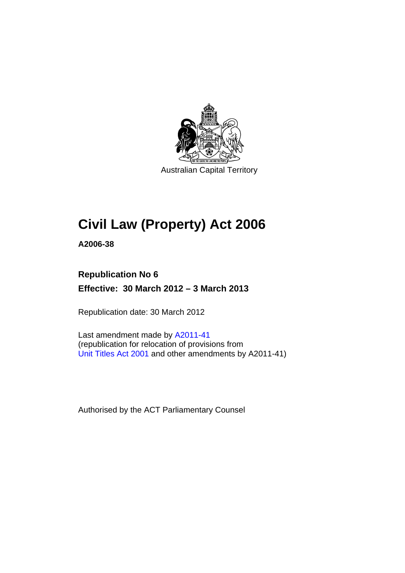

Australian Capital Territory

# **Civil Law (Property) Act 2006**

**A2006-38** 

## **Republication No 6 Effective: 30 March 2012 – 3 March 2013**

Republication date: 30 March 2012

Last amendment made by [A2011-41](http://www.legislation.act.gov.au/a/2011-41) (republication for relocation of provisions from [Unit Titles Act 2001](http://www.legislation.act.gov.au/a/2001-16/default.asp) and other amendments by A2011-41)

Authorised by the ACT Parliamentary Counsel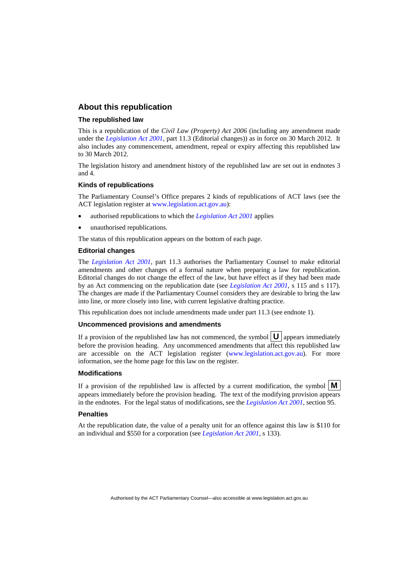#### **About this republication**

#### **The republished law**

This is a republication of the *Civil Law (Property) Act 2006* (including any amendment made under the *[Legislation Act 2001](http://www.legislation.act.gov.au/a/2001-14)*, part 11.3 (Editorial changes)) as in force on 30 March 2012*.* It also includes any commencement, amendment, repeal or expiry affecting this republished law to 30 March 2012.

The legislation history and amendment history of the republished law are set out in endnotes 3 and 4.

#### **Kinds of republications**

The Parliamentary Counsel's Office prepares 2 kinds of republications of ACT laws (see the ACT legislation register at [www.legislation.act.gov.au](http://www.legislation.act.gov.au/)):

- authorised republications to which the *[Legislation Act 2001](http://www.legislation.act.gov.au/a/2001-14)* applies
- unauthorised republications.

The status of this republication appears on the bottom of each page.

#### **Editorial changes**

The *[Legislation Act 2001](http://www.legislation.act.gov.au/a/2001-14)*, part 11.3 authorises the Parliamentary Counsel to make editorial amendments and other changes of a formal nature when preparing a law for republication. Editorial changes do not change the effect of the law, but have effect as if they had been made by an Act commencing on the republication date (see *[Legislation Act 2001](http://www.legislation.act.gov.au/a/2001-14)*, s 115 and s 117). The changes are made if the Parliamentary Counsel considers they are desirable to bring the law into line, or more closely into line, with current legislative drafting practice.

This republication does not include amendments made under part 11.3 (see endnote 1).

#### **Uncommenced provisions and amendments**

If a provision of the republished law has not commenced, the symbol  $\mathbf{U}$  appears immediately before the provision heading. Any uncommenced amendments that affect this republished law are accessible on the ACT legislation register [\(www.legislation.act.gov.au\)](http://www.legislation.act.gov.au/). For more information, see the home page for this law on the register.

#### **Modifications**

If a provision of the republished law is affected by a current modification, the symbol  $\mathbf{M}$ appears immediately before the provision heading. The text of the modifying provision appears in the endnotes. For the legal status of modifications, see the *[Legislation Act 2001](http://www.legislation.act.gov.au/a/2001-14)*, section 95.

#### **Penalties**

At the republication date, the value of a penalty unit for an offence against this law is \$110 for an individual and \$550 for a corporation (see *[Legislation Act 2001](http://www.legislation.act.gov.au/a/2001-14)*, s 133).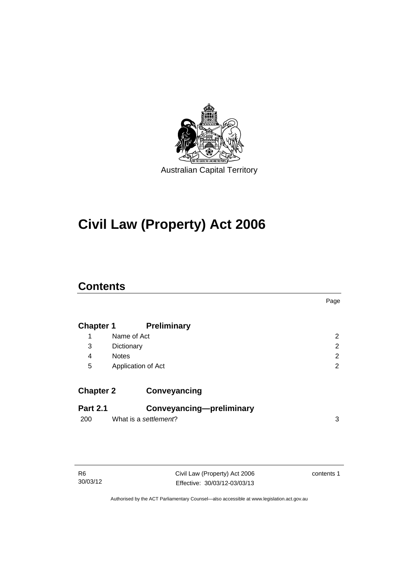

# **Civil Law (Property) Act 2006**

## **Contents**

|                  |                                 | Page                  |
|------------------|---------------------------------|-----------------------|
| <b>Chapter 1</b> | <b>Preliminary</b>              |                       |
| 1                | Name of Act                     | $\mathbf{2}^{\prime}$ |
| 3                | Dictionary                      | 2                     |
| 4                | <b>Notes</b>                    | 2                     |
| 5                | Application of Act              | $\overline{2}$        |
| <b>Chapter 2</b> | Conveyancing                    |                       |
| <b>Part 2.1</b>  | <b>Conveyancing-preliminary</b> |                       |
| 200              | What is a settlement?           | 3                     |
|                  |                                 |                       |

Civil Law (Property) Act 2006 Effective: 30/03/12-03/03/13 contents 1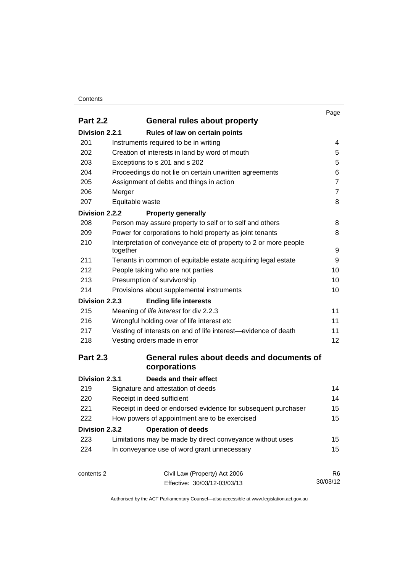#### **Contents**

|                 |                                                                  | Page           |
|-----------------|------------------------------------------------------------------|----------------|
| <b>Part 2.2</b> | <b>General rules about property</b>                              |                |
| Division 2.2.1  | Rules of law on certain points                                   |                |
| 201             | Instruments required to be in writing                            | 4              |
| 202             | Creation of interests in land by word of mouth                   | 5              |
| 203             | Exceptions to s 201 and s 202                                    | 5              |
| 204             | Proceedings do not lie on certain unwritten agreements           | 6              |
| 205             | Assignment of debts and things in action                         | $\overline{7}$ |
| 206             | Merger                                                           | $\overline{7}$ |
| 207             | Equitable waste                                                  | 8              |
| Division 2.2.2  | <b>Property generally</b>                                        |                |
| 208             | Person may assure property to self or to self and others         | 8              |
| 209             | Power for corporations to hold property as joint tenants         | 8              |
| 210             | Interpretation of conveyance etc of property to 2 or more people |                |
|                 | together                                                         | 9              |
| 211             | Tenants in common of equitable estate acquiring legal estate     | 9              |
| 212             | People taking who are not parties                                | 10             |
| 213             | Presumption of survivorship                                      | 10             |
| 214             | Provisions about supplemental instruments                        | 10             |
| Division 2.2.3  | <b>Ending life interests</b>                                     |                |
| 215             | Meaning of life interest for div 2.2.3                           | 11             |
| 216             | Wrongful holding over of life interest etc                       | 11             |
| 217             | Vesting of interests on end of life interest-evidence of death   | 11             |
| 218             | Vesting orders made in error                                     | 12             |
| <b>Part 2.3</b> | General rules about deeds and documents of                       |                |
|                 | corporations                                                     |                |
| Division 2.3.1  | Deeds and their effect                                           |                |
| 219             | Signature and attestation of deeds                               | 14             |
| 220             | Receipt in deed sufficient                                       | 14             |
| 221             | Receipt in deed or endorsed evidence for subsequent purchaser    | 15             |
| 222             | How powers of appointment are to be exercised                    | 15             |
| Division 2.3.2  | <b>Operation of deeds</b>                                        |                |
| 223             | Limitations may be made by direct conveyance without uses        | 15             |
| 224             | In conveyance use of word grant unnecessary                      | 15             |
| contents 2      | Civil Law (Property) Act 2006                                    | R <sub>6</sub> |
|                 | Effective: 30/03/12-03/03/13                                     | 30/03/12       |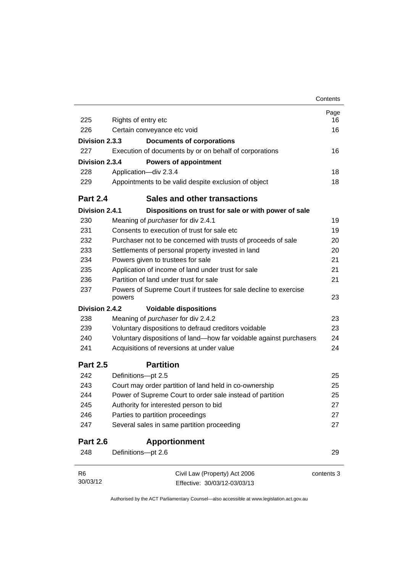|                 |                                                                            | Contents   |
|-----------------|----------------------------------------------------------------------------|------------|
|                 |                                                                            | Page       |
| 225             | Rights of entry etc                                                        | 16         |
| 226             | Certain conveyance etc void                                                | 16         |
| Division 2.3.3  | <b>Documents of corporations</b>                                           |            |
| 227             | Execution of documents by or on behalf of corporations                     | 16         |
| Division 2.3.4  | <b>Powers of appointment</b>                                               |            |
| 228             | Application-div 2.3.4                                                      | 18         |
| 229             | Appointments to be valid despite exclusion of object                       | 18         |
| <b>Part 2.4</b> | <b>Sales and other transactions</b>                                        |            |
| Division 2.4.1  | Dispositions on trust for sale or with power of sale                       |            |
| 230             | Meaning of purchaser for div 2.4.1                                         | 19         |
| 231             | Consents to execution of trust for sale etc                                | 19         |
| 232             | Purchaser not to be concerned with trusts of proceeds of sale              | 20         |
| 233             | Settlements of personal property invested in land                          | 20         |
| 234             | Powers given to trustees for sale                                          | 21         |
| 235             | Application of income of land under trust for sale                         | 21         |
| 236             | Partition of land under trust for sale                                     | 21         |
| 237             | Powers of Supreme Court if trustees for sale decline to exercise<br>powers | 23         |
| Division 2.4.2  | <b>Voidable dispositions</b>                                               |            |
| 238             | Meaning of purchaser for div 2.4.2                                         | 23         |
| 239             | Voluntary dispositions to defraud creditors voidable                       | 23         |
| 240             | Voluntary dispositions of land-how far voidable against purchasers         | 24         |
| 241             | Acquisitions of reversions at under value                                  | 24         |
| <b>Part 2.5</b> | <b>Partition</b>                                                           |            |
| 242             | Definitions-pt 2.5                                                         | 25         |
| 243             | Court may order partition of land held in co-ownership                     | 25         |
| 244             | Power of Supreme Court to order sale instead of partition                  | 25         |
| 245             | Authority for interested person to bid                                     | 27         |
| 246             | Parties to partition proceedings                                           | 27         |
| 247             | Several sales in same partition proceeding                                 | 27         |
| <b>Part 2.6</b> | <b>Apportionment</b>                                                       |            |
| 248             | Definitions-pt 2.6                                                         | 29         |
| R6              | Civil Law (Property) Act 2006                                              | contents 3 |
| 30/03/12        | Effective: 30/03/12-03/03/13                                               |            |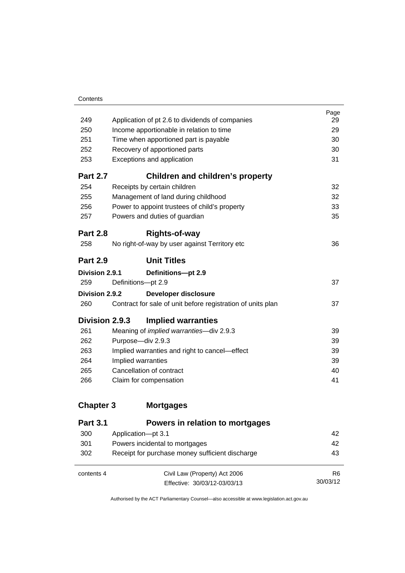| 249             | Application of pt 2.6 to dividends of companies             | Page<br>29 |
|-----------------|-------------------------------------------------------------|------------|
| 250             | Income apportionable in relation to time                    | 29         |
| 251             | Time when apportioned part is payable                       | 30         |
| 252             | Recovery of apportioned parts                               | 30         |
| 253             | Exceptions and application                                  | 31         |
| <b>Part 2.7</b> | Children and children's property                            |            |
| 254             | Receipts by certain children                                | 32         |
| 255             | Management of land during childhood                         | 32         |
| 256             | Power to appoint trustees of child's property               | 33         |
| 257             | Powers and duties of guardian                               | 35         |
| <b>Part 2.8</b> | Rights-of-way                                               |            |
| 258             | No right-of-way by user against Territory etc               | 36         |
|                 |                                                             |            |
| <b>Part 2.9</b> | <b>Unit Titles</b>                                          |            |
| Division 2.9.1  | Definitions-pt 2.9                                          |            |
| 259             | Definitions-pt 2.9                                          | 37         |
| Division 2.9.2  | Developer disclosure                                        |            |
| 260             | Contract for sale of unit before registration of units plan | 37         |
| Division 2.9.3  | <b>Implied warranties</b>                                   |            |
| 261             | Meaning of <i>implied warranties</i> -div 2.9.3             | 39         |
| 262             | Purpose-div 2.9.3                                           | 39         |
| 263             | Implied warranties and right to cancel—effect               | 39         |
| 264             | Implied warranties                                          | 39         |
| 265             | Cancellation of contract                                    | 40         |
| 266             | Claim for compensation                                      | 41         |

## **Chapter 3 [Mortgages](#page-51-0)**

| <b>Part 3.1</b> | Powers in relation to mortgages                 |                |
|-----------------|-------------------------------------------------|----------------|
| 300             | Application-pt 3.1                              | 42             |
| 301             | Powers incidental to mortgages                  | 42             |
| 302             | Receipt for purchase money sufficient discharge | 43             |
| contents 4      | Civil Law (Property) Act 2006                   | R <sub>6</sub> |
|                 | Effective: 30/03/12-03/03/13                    | 30/03/12       |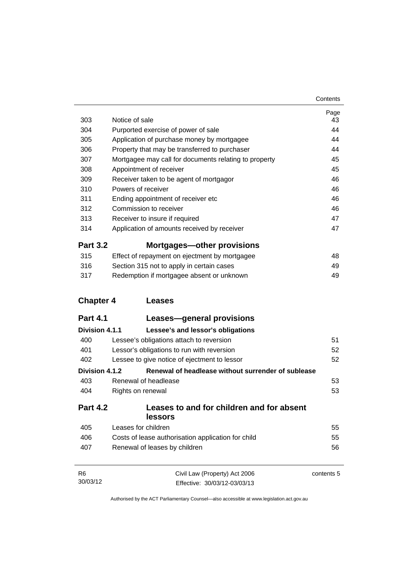| 303              | Notice of sale                                                                                                                    | Page<br>43 |
|------------------|-----------------------------------------------------------------------------------------------------------------------------------|------------|
| 304              | Purported exercise of power of sale                                                                                               | 44         |
| 305              | Application of purchase money by mortgagee                                                                                        | 44         |
| 306              | Property that may be transferred to purchaser<br>Mortgagee may call for documents relating to property<br>Appointment of receiver | 44         |
| 307              |                                                                                                                                   | 45         |
| 308              |                                                                                                                                   | 45         |
| 309              | Receiver taken to be agent of mortgagor                                                                                           | 46         |
| 310              | Powers of receiver                                                                                                                | 46         |
| 311              | Ending appointment of receiver etc                                                                                                | 46         |
| 312              | Commission to receiver                                                                                                            | 46         |
| 313              | Receiver to insure if required                                                                                                    | 47         |
| 314              | Application of amounts received by receiver                                                                                       | 47         |
| <b>Part 3.2</b>  | <b>Mortgages-other provisions</b>                                                                                                 |            |
| 315              | Effect of repayment on ejectment by mortgagee                                                                                     | 48         |
| 316              | Section 315 not to apply in certain cases                                                                                         | 49         |
| 317              | Redemption if mortgagee absent or unknown                                                                                         | 49         |
| <b>Chapter 4</b> | <b>Leases</b>                                                                                                                     |            |
|                  |                                                                                                                                   |            |
| <b>Part 4.1</b>  | Leases-general provisions                                                                                                         |            |
| Division 4.1.1   | Lessee's and lessor's obligations                                                                                                 |            |
| 400              | Lessee's obligations attach to reversion                                                                                          | 51         |
| 401              | Lessor's obligations to run with reversion                                                                                        | 52         |
| 402              | Lessee to give notice of ejectment to lessor                                                                                      | 52         |
| Division 4.1.2   | Renewal of headlease without surrender of sublease                                                                                |            |
| 403              | Renewal of headlease                                                                                                              | 53         |
| 404              | Rights on renewal                                                                                                                 | 53         |
| <b>Part 4.2</b>  | Leases to and for children and for absent                                                                                         |            |
|                  | lessors                                                                                                                           |            |
| 405              | Leases for children                                                                                                               | 55         |
| 406              | Costs of lease authorisation application for child                                                                                | 55         |
| 407              | Renewal of leases by children                                                                                                     | 56         |
| R6               | Civil Law (Property) Act 2006                                                                                                     | contents 5 |
| 30/03/12         | Effective: 30/03/12-03/03/13                                                                                                      |            |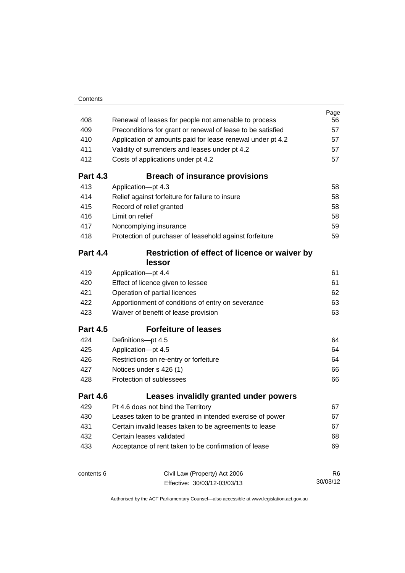| 408             | Renewal of leases for people not amenable to process        | Page<br>56     |
|-----------------|-------------------------------------------------------------|----------------|
| 409             | Preconditions for grant or renewal of lease to be satisfied | 57             |
| 410             | Application of amounts paid for lease renewal under pt 4.2  | 57             |
| 411             | Validity of surrenders and leases under pt 4.2              | 57             |
| 412             | Costs of applications under pt 4.2                          | 57             |
| <b>Part 4.3</b> | <b>Breach of insurance provisions</b>                       |                |
| 413             | Application-pt 4.3                                          | 58             |
| 414             | Relief against forfeiture for failure to insure             | 58             |
| 415             | Record of relief granted                                    | 58             |
| 416             | Limit on relief                                             | 58             |
| 417             | Noncomplying insurance                                      | 59             |
| 418             | Protection of purchaser of leasehold against forfeiture     | 59             |
| <b>Part 4.4</b> | Restriction of effect of licence or waiver by<br>lessor     |                |
| 419             | Application-pt 4.4                                          | 61             |
| 420             | Effect of licence given to lessee                           | 61             |
| 421             | Operation of partial licences                               | 62             |
| 422             | Apportionment of conditions of entry on severance           | 63             |
| 423             | Waiver of benefit of lease provision                        | 63             |
| <b>Part 4.5</b> | <b>Forfeiture of leases</b>                                 |                |
| 424             | Definitions-pt 4.5                                          | 64             |
| 425             | Application-pt 4.5                                          | 64             |
| 426             | Restrictions on re-entry or forfeiture                      | 64             |
| 427             | Notices under s 426 (1)                                     | 66             |
| 428             | Protection of sublessees                                    | 66             |
| <b>Part 4.6</b> | Leases invalidly granted under powers                       |                |
| 429             | Pt 4.6 does not bind the Territory                          | 67             |
| 430             | Leases taken to be granted in intended exercise of power    | 67             |
| 431             | Certain invalid leases taken to be agreements to lease      | 67             |
| 432             | Certain leases validated                                    | 68             |
| 433             | Acceptance of rent taken to be confirmation of lease        | 69             |
| contents 6      | Civil Law (Property) Act 2006                               | R <sub>6</sub> |

Effective: 30/03/12-03/03/13

30/03/12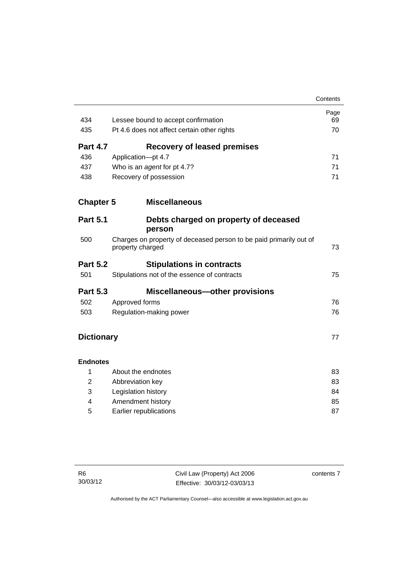|                   |                                                                                        | Contents |
|-------------------|----------------------------------------------------------------------------------------|----------|
|                   |                                                                                        | Page     |
| 434               | Lessee bound to accept confirmation                                                    | 69       |
| 435               | Pt 4.6 does not affect certain other rights                                            | 70       |
| <b>Part 4.7</b>   | <b>Recovery of leased premises</b>                                                     |          |
| 436               | Application-pt 4.7                                                                     | 71       |
| 437               | Who is an agent for pt 4.7?                                                            | 71       |
| 438               | Recovery of possession                                                                 | 71       |
| <b>Chapter 5</b>  | <b>Miscellaneous</b>                                                                   |          |
| <b>Part 5.1</b>   | Debts charged on property of deceased                                                  |          |
|                   | person                                                                                 |          |
| 500               | Charges on property of deceased person to be paid primarily out of<br>property charged | 73       |
| <b>Part 5.2</b>   | <b>Stipulations in contracts</b>                                                       |          |
| 501               | Stipulations not of the essence of contracts                                           | 75       |
| <b>Part 5.3</b>   | <b>Miscellaneous-other provisions</b>                                                  |          |
| 502               | Approved forms                                                                         | 76       |
| 503               | Regulation-making power                                                                | 76       |
| <b>Dictionary</b> |                                                                                        | 77       |
| <b>Endnotes</b>   |                                                                                        |          |
| 1                 | About the endnotes                                                                     | 83       |
| $\overline{2}$    | Abbreviation key                                                                       | 83       |
| 3                 | Legislation history                                                                    | 84       |
| 4                 | Amendment history                                                                      | 85       |
| 5                 | Earlier republications                                                                 | 87       |

contents 7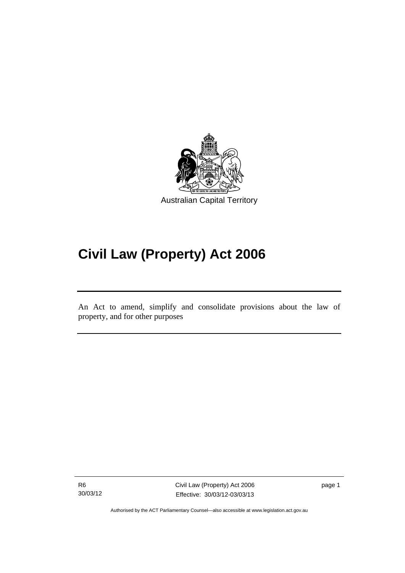

# **Civil Law (Property) Act 2006**

An Act to amend, simplify and consolidate provisions about the law of property, and for other purposes

R6 30/03/12

Ī

Civil Law (Property) Act 2006 Effective: 30/03/12-03/03/13

page 1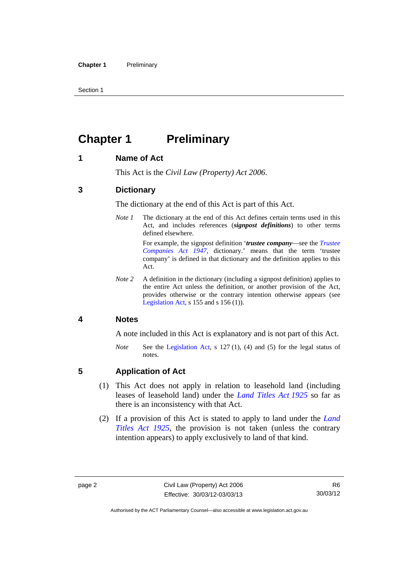Section 1

## <span id="page-11-0"></span>**Chapter 1** Preliminary

## <span id="page-11-1"></span>**1 Name of Act**

This Act is the *Civil Law (Property) Act 2006*.

## <span id="page-11-2"></span>**3 Dictionary**

The dictionary at the end of this Act is part of this Act.

*Note 1* The dictionary at the end of this Act defines certain terms used in this Act, and includes references (*signpost definitions*) to other terms defined elsewhere.

> For example, the signpost definition '*trustee company*—see the *[Trustee](http://www.legislation.act.gov.au/a/1947-15)  [Companies Act 1947](http://www.legislation.act.gov.au/a/1947-15)*, dictionary.' means that the term 'trustee company' is defined in that dictionary and the definition applies to this Act.

*Note 2* A definition in the dictionary (including a signpost definition) applies to the entire Act unless the definition, or another provision of the Act, provides otherwise or the contrary intention otherwise appears (see [Legislation Act,](http://www.legislation.act.gov.au/a/2001-14)  $s$  155 and  $s$  156 (1)).

## <span id="page-11-3"></span>**4 Notes**

A note included in this Act is explanatory and is not part of this Act.

*Note* See the [Legislation Act,](http://www.legislation.act.gov.au/a/2001-14) s 127 (1), (4) and (5) for the legal status of notes.

## <span id="page-11-4"></span>**5 Application of Act**

- (1) This Act does not apply in relation to leasehold land (including leases of leasehold land) under the *[Land Titles Act 1925](http://www.legislation.act.gov.au/a/1925-1)* so far as there is an inconsistency with that Act.
- (2) If a provision of this Act is stated to apply to land under the *[Land](http://www.legislation.act.gov.au/a/1925-1)  [Titles Act 1925](http://www.legislation.act.gov.au/a/1925-1)*, the provision is not taken (unless the contrary intention appears) to apply exclusively to land of that kind.

Authorised by the ACT Parliamentary Counsel—also accessible at www.legislation.act.gov.au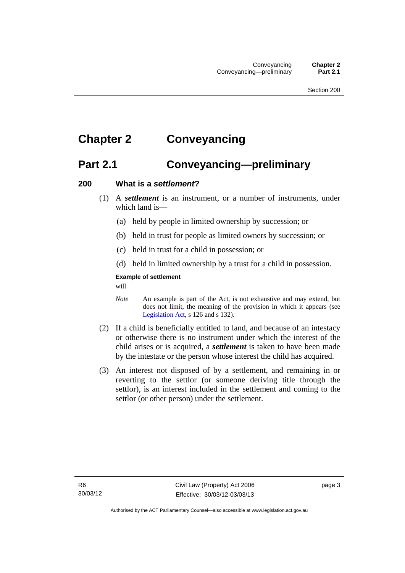## <span id="page-12-0"></span>**Chapter 2 Conveyancing**

## <span id="page-12-1"></span>**Part 2.1 Conveyancing—preliminary**

#### <span id="page-12-2"></span>**200 What is a** *settlement***?**

- (1) A *settlement* is an instrument, or a number of instruments, under which land is—
	- (a) held by people in limited ownership by succession; or
	- (b) held in trust for people as limited owners by succession; or
	- (c) held in trust for a child in possession; or
	- (d) held in limited ownership by a trust for a child in possession.

#### **Example of settlement**

will

- *Note* An example is part of the Act, is not exhaustive and may extend, but does not limit, the meaning of the provision in which it appears (see [Legislation Act,](http://www.legislation.act.gov.au/a/2001-14) s 126 and s 132).
- (2) If a child is beneficially entitled to land, and because of an intestacy or otherwise there is no instrument under which the interest of the child arises or is acquired, a *settlement* is taken to have been made by the intestate or the person whose interest the child has acquired.
- (3) An interest not disposed of by a settlement, and remaining in or reverting to the settlor (or someone deriving title through the settlor), is an interest included in the settlement and coming to the settlor (or other person) under the settlement.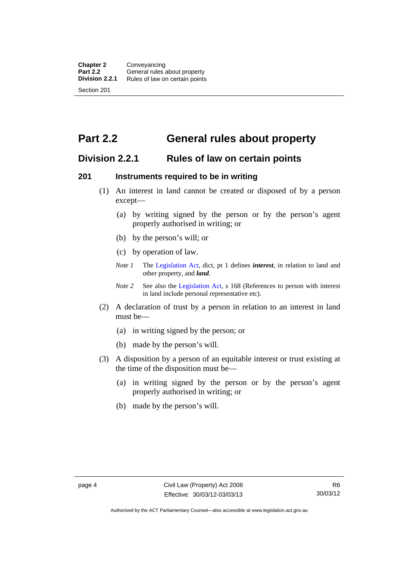## <span id="page-13-0"></span>**Part 2.2 General rules about property**

## <span id="page-13-1"></span>**Division 2.2.1 Rules of law on certain points**

### <span id="page-13-2"></span>**201 Instruments required to be in writing**

- (1) An interest in land cannot be created or disposed of by a person except—
	- (a) by writing signed by the person or by the person's agent properly authorised in writing; or
	- (b) by the person's will; or
	- (c) by operation of law.
	- *Note 1* The [Legislation Act](http://www.legislation.act.gov.au/a/2001-14), dict, pt 1 defines *interest*, in relation to land and other property, and *land*.
	- *Note 2* See also the [Legislation Act,](http://www.legislation.act.gov.au/a/2001-14) s 168 (References to person with interest in land include personal representative etc).
- (2) A declaration of trust by a person in relation to an interest in land must be—
	- (a) in writing signed by the person; or
	- (b) made by the person's will.
- (3) A disposition by a person of an equitable interest or trust existing at the time of the disposition must be—
	- (a) in writing signed by the person or by the person's agent properly authorised in writing; or
	- (b) made by the person's will.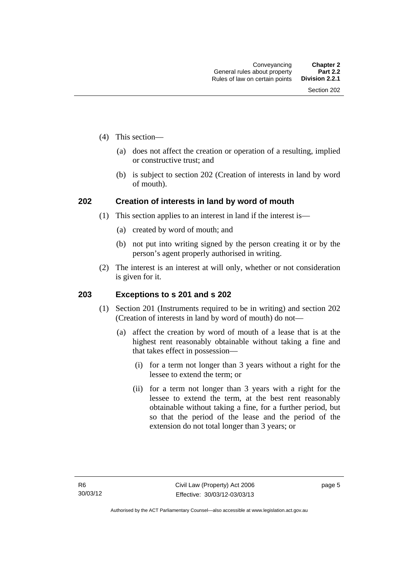- (4) This section—
	- (a) does not affect the creation or operation of a resulting, implied or constructive trust; and
	- (b) is subject to section 202 (Creation of interests in land by word of mouth).

## <span id="page-14-0"></span>**202 Creation of interests in land by word of mouth**

- (1) This section applies to an interest in land if the interest is—
	- (a) created by word of mouth; and
	- (b) not put into writing signed by the person creating it or by the person's agent properly authorised in writing.
- (2) The interest is an interest at will only, whether or not consideration is given for it.

## <span id="page-14-1"></span>**203 Exceptions to s 201 and s 202**

- (1) Section 201 (Instruments required to be in writing) and section 202 (Creation of interests in land by word of mouth) do not—
	- (a) affect the creation by word of mouth of a lease that is at the highest rent reasonably obtainable without taking a fine and that takes effect in possession—
		- (i) for a term not longer than 3 years without a right for the lessee to extend the term; or
		- (ii) for a term not longer than 3 years with a right for the lessee to extend the term, at the best rent reasonably obtainable without taking a fine, for a further period, but so that the period of the lease and the period of the extension do not total longer than 3 years; or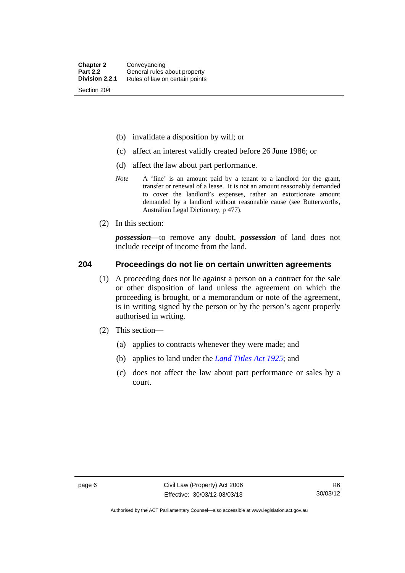- (b) invalidate a disposition by will; or
- (c) affect an interest validly created before 26 June 1986; or
- (d) affect the law about part performance.
- *Note* A 'fine' is an amount paid by a tenant to a landlord for the grant, transfer or renewal of a lease. It is not an amount reasonably demanded to cover the landlord's expenses, rather an extortionate amount demanded by a landlord without reasonable cause (see Butterworths, Australian Legal Dictionary, p 477).
- (2) In this section:

*possession*—to remove any doubt, *possession* of land does not include receipt of income from the land.

#### <span id="page-15-0"></span>**204 Proceedings do not lie on certain unwritten agreements**

- (1) A proceeding does not lie against a person on a contract for the sale or other disposition of land unless the agreement on which the proceeding is brought, or a memorandum or note of the agreement, is in writing signed by the person or by the person's agent properly authorised in writing.
- (2) This section—
	- (a) applies to contracts whenever they were made; and
	- (b) applies to land under the *[Land Titles Act 1925](http://www.legislation.act.gov.au/a/1925-1)*; and
	- (c) does not affect the law about part performance or sales by a court.

Authorised by the ACT Parliamentary Counsel—also accessible at www.legislation.act.gov.au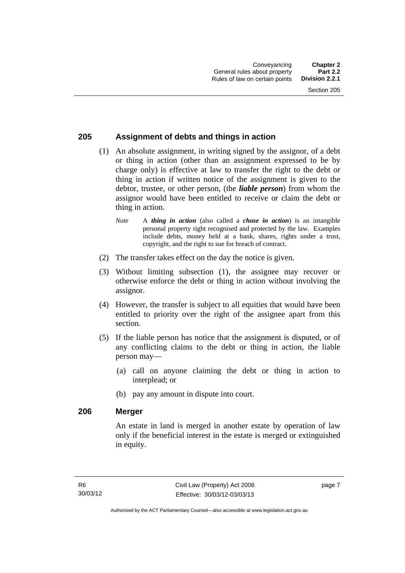## <span id="page-16-0"></span>**205 Assignment of debts and things in action**

- (1) An absolute assignment, in writing signed by the assignor, of a debt or thing in action (other than an assignment expressed to be by charge only) is effective at law to transfer the right to the debt or thing in action if written notice of the assignment is given to the debtor, trustee, or other person, (the *liable person*) from whom the assignor would have been entitled to receive or claim the debt or thing in action.
	- *Note* A *thing in action* (also called a *chose in action*) is an intangible personal property right recognised and protected by the law. Examples include debts, money held at a bank, shares, rights under a trust, copyright, and the right to sue for breach of contract.
- (2) The transfer takes effect on the day the notice is given.
- (3) Without limiting subsection (1), the assignee may recover or otherwise enforce the debt or thing in action without involving the assignor.
- (4) However, the transfer is subject to all equities that would have been entitled to priority over the right of the assignee apart from this section.
- (5) If the liable person has notice that the assignment is disputed, or of any conflicting claims to the debt or thing in action, the liable person may—
	- (a) call on anyone claiming the debt or thing in action to interplead; or
	- (b) pay any amount in dispute into court.

#### <span id="page-16-1"></span>**206 Merger**

An estate in land is merged in another estate by operation of law only if the beneficial interest in the estate is merged or extinguished in equity.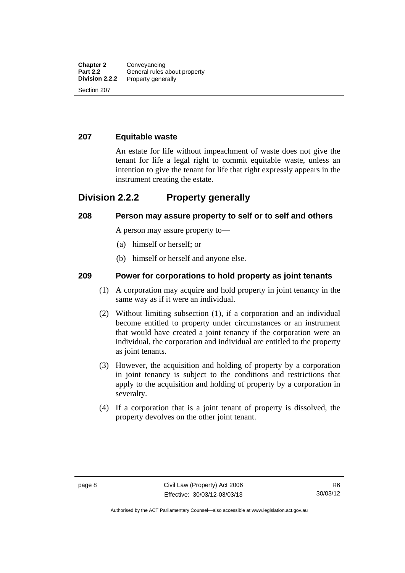#### <span id="page-17-0"></span>**207 Equitable waste**

An estate for life without impeachment of waste does not give the tenant for life a legal right to commit equitable waste, unless an intention to give the tenant for life that right expressly appears in the instrument creating the estate.

## <span id="page-17-1"></span>**Division 2.2.2 Property generally**

#### <span id="page-17-2"></span>**208 Person may assure property to self or to self and others**

A person may assure property to—

- (a) himself or herself; or
- (b) himself or herself and anyone else.

### <span id="page-17-3"></span>**209 Power for corporations to hold property as joint tenants**

- (1) A corporation may acquire and hold property in joint tenancy in the same way as if it were an individual.
- (2) Without limiting subsection (1), if a corporation and an individual become entitled to property under circumstances or an instrument that would have created a joint tenancy if the corporation were an individual, the corporation and individual are entitled to the property as joint tenants.
- (3) However, the acquisition and holding of property by a corporation in joint tenancy is subject to the conditions and restrictions that apply to the acquisition and holding of property by a corporation in severalty.
- (4) If a corporation that is a joint tenant of property is dissolved, the property devolves on the other joint tenant.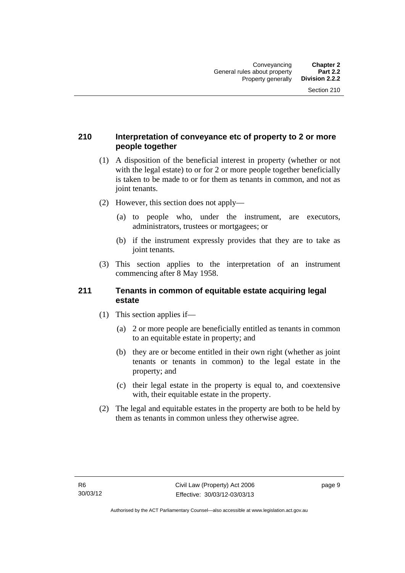## <span id="page-18-0"></span>**210 Interpretation of conveyance etc of property to 2 or more people together**

- (1) A disposition of the beneficial interest in property (whether or not with the legal estate) to or for 2 or more people together beneficially is taken to be made to or for them as tenants in common, and not as joint tenants.
- (2) However, this section does not apply—
	- (a) to people who, under the instrument, are executors, administrators, trustees or mortgagees; or
	- (b) if the instrument expressly provides that they are to take as joint tenants.
- (3) This section applies to the interpretation of an instrument commencing after 8 May 1958.

#### <span id="page-18-1"></span>**211 Tenants in common of equitable estate acquiring legal estate**

- (1) This section applies if—
	- (a) 2 or more people are beneficially entitled as tenants in common to an equitable estate in property; and
	- (b) they are or become entitled in their own right (whether as joint tenants or tenants in common) to the legal estate in the property; and
	- (c) their legal estate in the property is equal to, and coextensive with, their equitable estate in the property.
- (2) The legal and equitable estates in the property are both to be held by them as tenants in common unless they otherwise agree.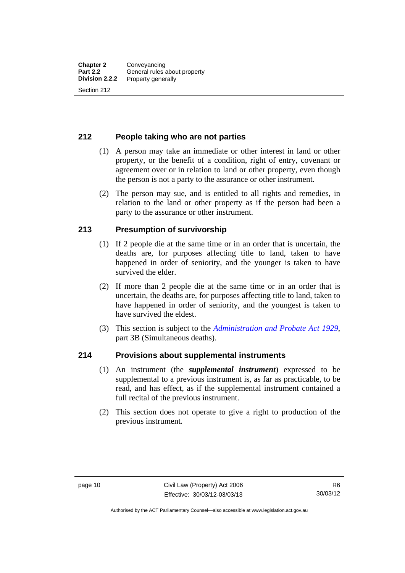### <span id="page-19-0"></span>**212 People taking who are not parties**

- (1) A person may take an immediate or other interest in land or other property, or the benefit of a condition, right of entry, covenant or agreement over or in relation to land or other property, even though the person is not a party to the assurance or other instrument.
- (2) The person may sue, and is entitled to all rights and remedies, in relation to the land or other property as if the person had been a party to the assurance or other instrument.

### <span id="page-19-1"></span>**213 Presumption of survivorship**

- (1) If 2 people die at the same time or in an order that is uncertain, the deaths are, for purposes affecting title to land, taken to have happened in order of seniority, and the younger is taken to have survived the elder.
- (2) If more than 2 people die at the same time or in an order that is uncertain, the deaths are, for purposes affecting title to land, taken to have happened in order of seniority, and the youngest is taken to have survived the eldest.
- (3) This section is subject to the *[Administration and Probate Act 1929](http://www.legislation.act.gov.au/a/1929-18)*, part 3B (Simultaneous deaths).

#### <span id="page-19-2"></span>**214 Provisions about supplemental instruments**

- (1) An instrument (the *supplemental instrument*) expressed to be supplemental to a previous instrument is, as far as practicable, to be read, and has effect, as if the supplemental instrument contained a full recital of the previous instrument.
- (2) This section does not operate to give a right to production of the previous instrument.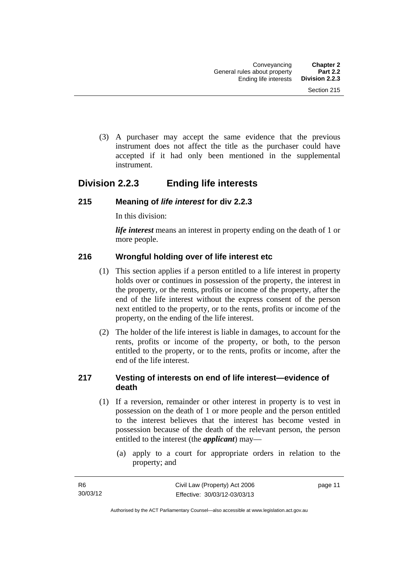(3) A purchaser may accept the same evidence that the previous instrument does not affect the title as the purchaser could have accepted if it had only been mentioned in the supplemental instrument.

## <span id="page-20-0"></span>**Division 2.2.3 Ending life interests**

### <span id="page-20-1"></span>**215 Meaning of** *life interest* **for div 2.2.3**

In this division:

*life interest* means an interest in property ending on the death of 1 or more people.

## <span id="page-20-2"></span>**216 Wrongful holding over of life interest etc**

- (1) This section applies if a person entitled to a life interest in property holds over or continues in possession of the property, the interest in the property, or the rents, profits or income of the property, after the end of the life interest without the express consent of the person next entitled to the property, or to the rents, profits or income of the property, on the ending of the life interest.
- (2) The holder of the life interest is liable in damages, to account for the rents, profits or income of the property, or both, to the person entitled to the property, or to the rents, profits or income, after the end of the life interest.

## <span id="page-20-3"></span>**217 Vesting of interests on end of life interest—evidence of death**

- (1) If a reversion, remainder or other interest in property is to vest in possession on the death of 1 or more people and the person entitled to the interest believes that the interest has become vested in possession because of the death of the relevant person, the person entitled to the interest (the *applicant*) may—
	- (a) apply to a court for appropriate orders in relation to the property; and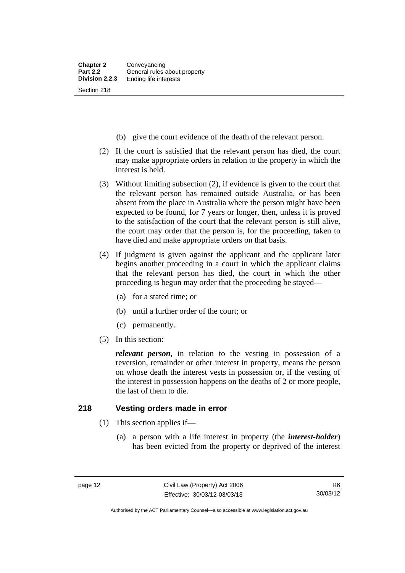- (b) give the court evidence of the death of the relevant person.
- (2) If the court is satisfied that the relevant person has died, the court may make appropriate orders in relation to the property in which the interest is held.
- (3) Without limiting subsection (2), if evidence is given to the court that the relevant person has remained outside Australia, or has been absent from the place in Australia where the person might have been expected to be found, for 7 years or longer, then, unless it is proved to the satisfaction of the court that the relevant person is still alive, the court may order that the person is, for the proceeding, taken to have died and make appropriate orders on that basis.
- (4) If judgment is given against the applicant and the applicant later begins another proceeding in a court in which the applicant claims that the relevant person has died, the court in which the other proceeding is begun may order that the proceeding be stayed—
	- (a) for a stated time; or
	- (b) until a further order of the court; or
	- (c) permanently.
- (5) In this section:

*relevant person*, in relation to the vesting in possession of a reversion, remainder or other interest in property, means the person on whose death the interest vests in possession or, if the vesting of the interest in possession happens on the deaths of 2 or more people, the last of them to die.

#### <span id="page-21-0"></span>**218 Vesting orders made in error**

- (1) This section applies if—
	- (a) a person with a life interest in property (the *interest-holder*) has been evicted from the property or deprived of the interest

Authorised by the ACT Parliamentary Counsel—also accessible at www.legislation.act.gov.au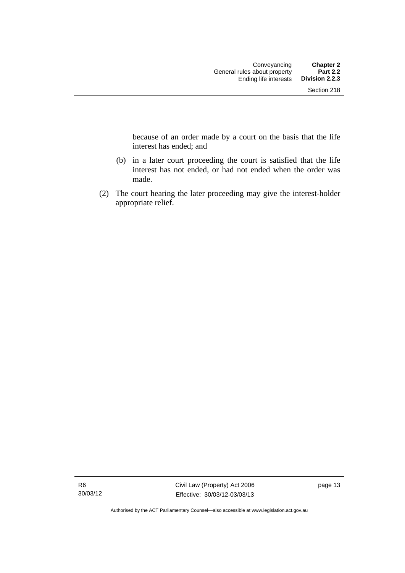because of an order made by a court on the basis that the life interest has ended; and

- (b) in a later court proceeding the court is satisfied that the life interest has not ended, or had not ended when the order was made.
- (2) The court hearing the later proceeding may give the interest-holder appropriate relief.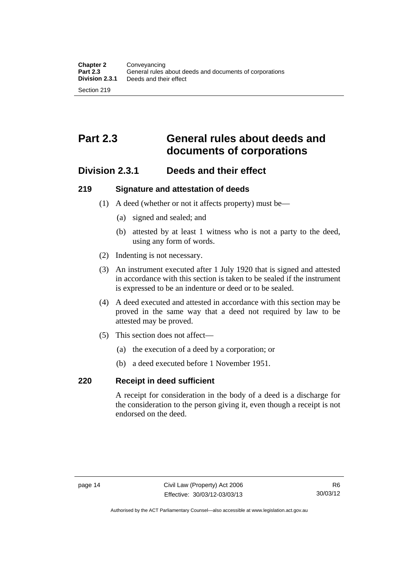## <span id="page-23-0"></span>**Part 2.3 General rules about deeds and documents of corporations**

## <span id="page-23-1"></span>**Division 2.3.1 Deeds and their effect**

### <span id="page-23-2"></span>**219 Signature and attestation of deeds**

- (1) A deed (whether or not it affects property) must be—
	- (a) signed and sealed; and
	- (b) attested by at least 1 witness who is not a party to the deed, using any form of words.
- (2) Indenting is not necessary.
- (3) An instrument executed after 1 July 1920 that is signed and attested in accordance with this section is taken to be sealed if the instrument is expressed to be an indenture or deed or to be sealed.
- (4) A deed executed and attested in accordance with this section may be proved in the same way that a deed not required by law to be attested may be proved.
- (5) This section does not affect—
	- (a) the execution of a deed by a corporation; or
	- (b) a deed executed before 1 November 1951.

## <span id="page-23-3"></span>**220 Receipt in deed sufficient**

A receipt for consideration in the body of a deed is a discharge for the consideration to the person giving it, even though a receipt is not endorsed on the deed.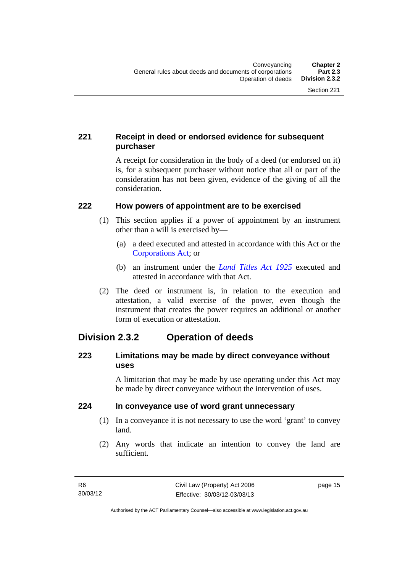## <span id="page-24-0"></span>**221 Receipt in deed or endorsed evidence for subsequent purchaser**

A receipt for consideration in the body of a deed (or endorsed on it) is, for a subsequent purchaser without notice that all or part of the consideration has not been given, evidence of the giving of all the consideration.

## <span id="page-24-1"></span>**222 How powers of appointment are to be exercised**

- (1) This section applies if a power of appointment by an instrument other than a will is exercised by—
	- (a) a deed executed and attested in accordance with this Act or the [Corporations Act;](http://www.comlaw.gov.au/Series/C2004A00818) or
	- (b) an instrument under the *[Land Titles Act 1925](http://www.legislation.act.gov.au/a/1925-1)* executed and attested in accordance with that Act.
- (2) The deed or instrument is, in relation to the execution and attestation, a valid exercise of the power, even though the instrument that creates the power requires an additional or another form of execution or attestation.

## <span id="page-24-2"></span>**Division 2.3.2 Operation of deeds**

## <span id="page-24-3"></span>**223 Limitations may be made by direct conveyance without uses**

A limitation that may be made by use operating under this Act may be made by direct conveyance without the intervention of uses.

## <span id="page-24-4"></span>**224 In conveyance use of word grant unnecessary**

- (1) In a conveyance it is not necessary to use the word 'grant' to convey land.
- (2) Any words that indicate an intention to convey the land are sufficient.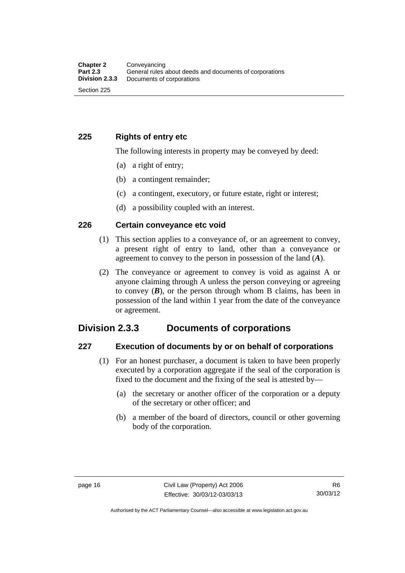## <span id="page-25-0"></span>**225 Rights of entry etc**

The following interests in property may be conveyed by deed:

- (a) a right of entry;
- (b) a contingent remainder;
- (c) a contingent, executory, or future estate, right or interest;
- (d) a possibility coupled with an interest.

### <span id="page-25-1"></span>**226 Certain conveyance etc void**

- (1) This section applies to a conveyance of, or an agreement to convey, a present right of entry to land, other than a conveyance or agreement to convey to the person in possession of the land (*A*).
- (2) The conveyance or agreement to convey is void as against A or anyone claiming through A unless the person conveying or agreeing to convey  $(B)$ , or the person through whom B claims, has been in possession of the land within 1 year from the date of the conveyance or agreement.

## <span id="page-25-2"></span>**Division 2.3.3 Documents of corporations**

#### <span id="page-25-3"></span>**227 Execution of documents by or on behalf of corporations**

- (1) For an honest purchaser, a document is taken to have been properly executed by a corporation aggregate if the seal of the corporation is fixed to the document and the fixing of the seal is attested by—
	- (a) the secretary or another officer of the corporation or a deputy of the secretary or other officer; and
	- (b) a member of the board of directors, council or other governing body of the corporation.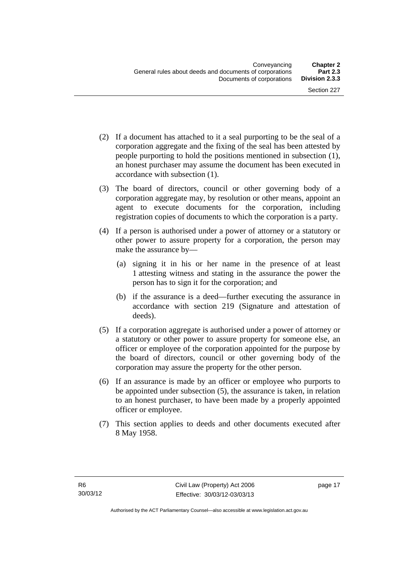- (2) If a document has attached to it a seal purporting to be the seal of a corporation aggregate and the fixing of the seal has been attested by people purporting to hold the positions mentioned in subsection (1), an honest purchaser may assume the document has been executed in accordance with subsection (1).
- (3) The board of directors, council or other governing body of a corporation aggregate may, by resolution or other means, appoint an agent to execute documents for the corporation, including registration copies of documents to which the corporation is a party.
- (4) If a person is authorised under a power of attorney or a statutory or other power to assure property for a corporation, the person may make the assurance by—
	- (a) signing it in his or her name in the presence of at least 1 attesting witness and stating in the assurance the power the person has to sign it for the corporation; and
	- (b) if the assurance is a deed—further executing the assurance in accordance with section 219 (Signature and attestation of deeds).
- (5) If a corporation aggregate is authorised under a power of attorney or a statutory or other power to assure property for someone else, an officer or employee of the corporation appointed for the purpose by the board of directors, council or other governing body of the corporation may assure the property for the other person.
- (6) If an assurance is made by an officer or employee who purports to be appointed under subsection (5), the assurance is taken, in relation to an honest purchaser, to have been made by a properly appointed officer or employee.
- (7) This section applies to deeds and other documents executed after 8 May 1958.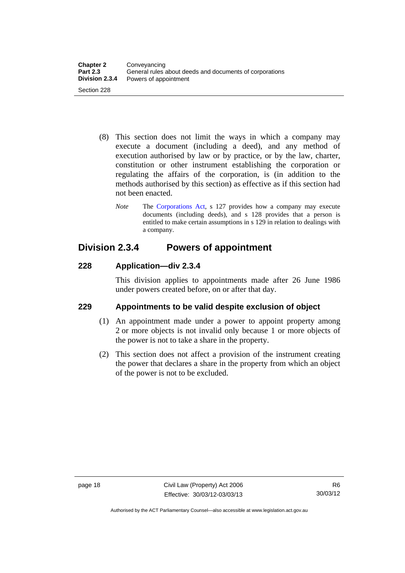- (8) This section does not limit the ways in which a company may execute a document (including a deed), and any method of execution authorised by law or by practice, or by the law, charter, constitution or other instrument establishing the corporation or regulating the affairs of the corporation, is (in addition to the methods authorised by this section) as effective as if this section had not been enacted.
	- *Note* The [Corporations Act,](http://www.comlaw.gov.au/Series/C2004A00818) s 127 provides how a company may execute documents (including deeds), and s 128 provides that a person is entitled to make certain assumptions in s 129 in relation to dealings with a company.

## <span id="page-27-0"></span>**Division 2.3.4 Powers of appointment**

## <span id="page-27-1"></span>**228 Application—div 2.3.4**

This division applies to appointments made after 26 June 1986 under powers created before, on or after that day.

## <span id="page-27-2"></span>**229 Appointments to be valid despite exclusion of object**

- (1) An appointment made under a power to appoint property among 2 or more objects is not invalid only because 1 or more objects of the power is not to take a share in the property.
- (2) This section does not affect a provision of the instrument creating the power that declares a share in the property from which an object of the power is not to be excluded.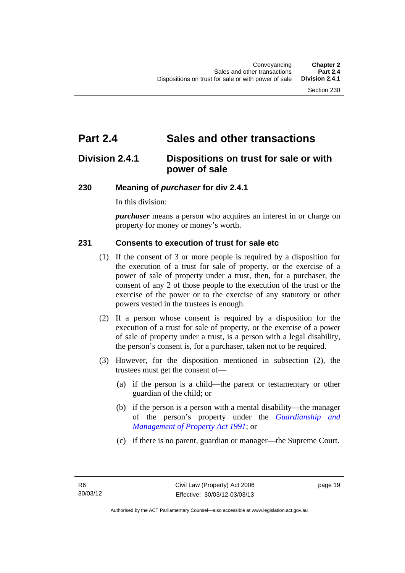## <span id="page-28-0"></span>**Part 2.4 Sales and other transactions**

## <span id="page-28-1"></span>**Division 2.4.1 Dispositions on trust for sale or with power of sale**

### <span id="page-28-2"></span>**230 Meaning of** *purchaser* **for div 2.4.1**

In this division:

*purchaser* means a person who acquires an interest in or charge on property for money or money's worth.

## <span id="page-28-3"></span>**231 Consents to execution of trust for sale etc**

- (1) If the consent of 3 or more people is required by a disposition for the execution of a trust for sale of property, or the exercise of a power of sale of property under a trust, then, for a purchaser, the consent of any 2 of those people to the execution of the trust or the exercise of the power or to the exercise of any statutory or other powers vested in the trustees is enough.
- (2) If a person whose consent is required by a disposition for the execution of a trust for sale of property, or the exercise of a power of sale of property under a trust, is a person with a legal disability, the person's consent is, for a purchaser, taken not to be required.
- (3) However, for the disposition mentioned in subsection (2), the trustees must get the consent of—
	- (a) if the person is a child—the parent or testamentary or other guardian of the child; or
	- (b) if the person is a person with a mental disability—the manager of the person's property under the *[Guardianship and](http://www.legislation.act.gov.au/a/1991-62)  [Management of Property Act 1991](http://www.legislation.act.gov.au/a/1991-62)*; or
	- (c) if there is no parent, guardian or manager—the Supreme Court.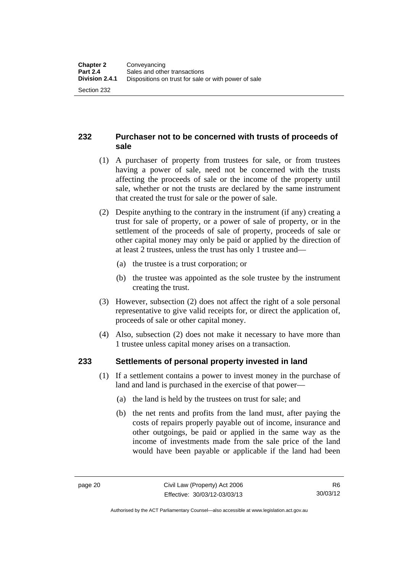## <span id="page-29-0"></span>**232 Purchaser not to be concerned with trusts of proceeds of sale**

- (1) A purchaser of property from trustees for sale, or from trustees having a power of sale, need not be concerned with the trusts affecting the proceeds of sale or the income of the property until sale, whether or not the trusts are declared by the same instrument that created the trust for sale or the power of sale.
- (2) Despite anything to the contrary in the instrument (if any) creating a trust for sale of property, or a power of sale of property, or in the settlement of the proceeds of sale of property, proceeds of sale or other capital money may only be paid or applied by the direction of at least 2 trustees, unless the trust has only 1 trustee and—
	- (a) the trustee is a trust corporation; or
	- (b) the trustee was appointed as the sole trustee by the instrument creating the trust.
- (3) However, subsection (2) does not affect the right of a sole personal representative to give valid receipts for, or direct the application of, proceeds of sale or other capital money.
- (4) Also, subsection (2) does not make it necessary to have more than 1 trustee unless capital money arises on a transaction.

## <span id="page-29-1"></span>**233 Settlements of personal property invested in land**

- (1) If a settlement contains a power to invest money in the purchase of land and land is purchased in the exercise of that power—
	- (a) the land is held by the trustees on trust for sale; and
	- (b) the net rents and profits from the land must, after paying the costs of repairs properly payable out of income, insurance and other outgoings, be paid or applied in the same way as the income of investments made from the sale price of the land would have been payable or applicable if the land had been

Authorised by the ACT Parliamentary Counsel—also accessible at www.legislation.act.gov.au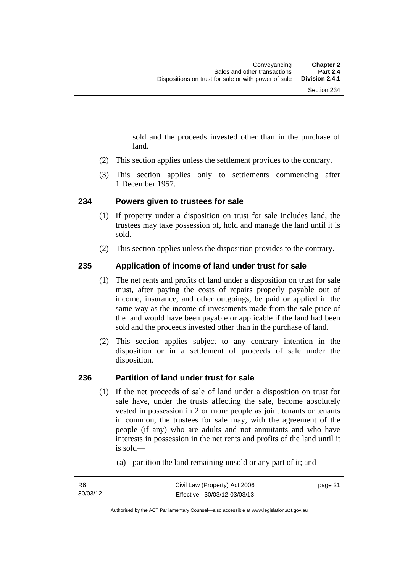sold and the proceeds invested other than in the purchase of land.

- (2) This section applies unless the settlement provides to the contrary.
- (3) This section applies only to settlements commencing after 1 December 1957.

#### <span id="page-30-0"></span>**234 Powers given to trustees for sale**

- (1) If property under a disposition on trust for sale includes land, the trustees may take possession of, hold and manage the land until it is sold.
- (2) This section applies unless the disposition provides to the contrary.

#### <span id="page-30-1"></span>**235 Application of income of land under trust for sale**

- (1) The net rents and profits of land under a disposition on trust for sale must, after paying the costs of repairs properly payable out of income, insurance, and other outgoings, be paid or applied in the same way as the income of investments made from the sale price of the land would have been payable or applicable if the land had been sold and the proceeds invested other than in the purchase of land.
- (2) This section applies subject to any contrary intention in the disposition or in a settlement of proceeds of sale under the disposition.

#### <span id="page-30-2"></span>**236 Partition of land under trust for sale**

- (1) If the net proceeds of sale of land under a disposition on trust for sale have, under the trusts affecting the sale, become absolutely vested in possession in 2 or more people as joint tenants or tenants in common, the trustees for sale may, with the agreement of the people (if any) who are adults and not annuitants and who have interests in possession in the net rents and profits of the land until it is sold—
	- (a) partition the land remaining unsold or any part of it; and

page 21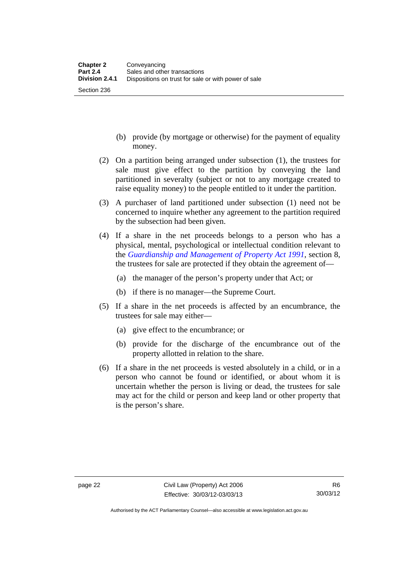Section 236

- (b) provide (by mortgage or otherwise) for the payment of equality money.
- (2) On a partition being arranged under subsection (1), the trustees for sale must give effect to the partition by conveying the land partitioned in severalty (subject or not to any mortgage created to raise equality money) to the people entitled to it under the partition.
- (3) A purchaser of land partitioned under subsection (1) need not be concerned to inquire whether any agreement to the partition required by the subsection had been given.
- (4) If a share in the net proceeds belongs to a person who has a physical, mental, psychological or intellectual condition relevant to the *[Guardianship and Management of Property Act 1991](http://www.legislation.act.gov.au/a/1991-62)*, section 8, the trustees for sale are protected if they obtain the agreement of—
	- (a) the manager of the person's property under that Act; or
	- (b) if there is no manager—the Supreme Court.
- (5) If a share in the net proceeds is affected by an encumbrance, the trustees for sale may either—
	- (a) give effect to the encumbrance; or
	- (b) provide for the discharge of the encumbrance out of the property allotted in relation to the share.
- (6) If a share in the net proceeds is vested absolutely in a child, or in a person who cannot be found or identified, or about whom it is uncertain whether the person is living or dead, the trustees for sale may act for the child or person and keep land or other property that is the person's share.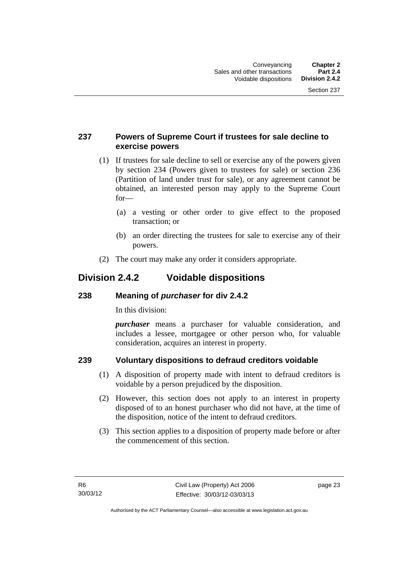## <span id="page-32-0"></span>**237 Powers of Supreme Court if trustees for sale decline to exercise powers**

- (1) If trustees for sale decline to sell or exercise any of the powers given by section 234 (Powers given to trustees for sale) or section 236 (Partition of land under trust for sale), or any agreement cannot be obtained, an interested person may apply to the Supreme Court for—
	- (a) a vesting or other order to give effect to the proposed transaction; or
	- (b) an order directing the trustees for sale to exercise any of their powers.
- (2) The court may make any order it considers appropriate.

## <span id="page-32-1"></span>**Division 2.4.2 Voidable dispositions**

## <span id="page-32-2"></span>**238 Meaning of** *purchaser* **for div 2.4.2**

In this division:

*purchaser* means a purchaser for valuable consideration, and includes a lessee, mortgagee or other person who, for valuable consideration, acquires an interest in property.

## <span id="page-32-3"></span>**239 Voluntary dispositions to defraud creditors voidable**

- (1) A disposition of property made with intent to defraud creditors is voidable by a person prejudiced by the disposition.
- (2) However, this section does not apply to an interest in property disposed of to an honest purchaser who did not have, at the time of the disposition, notice of the intent to defraud creditors.
- (3) This section applies to a disposition of property made before or after the commencement of this section.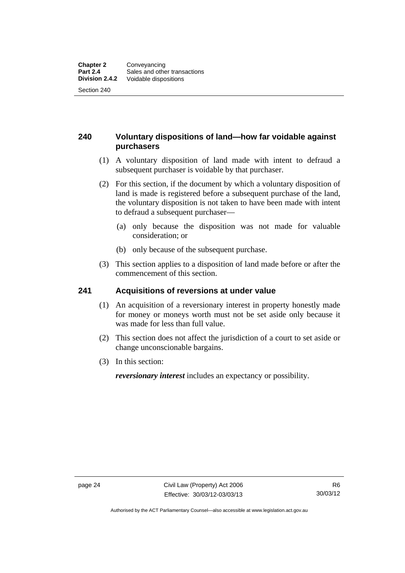## <span id="page-33-0"></span>**240 Voluntary dispositions of land—how far voidable against purchasers**

- (1) A voluntary disposition of land made with intent to defraud a subsequent purchaser is voidable by that purchaser.
- (2) For this section, if the document by which a voluntary disposition of land is made is registered before a subsequent purchase of the land, the voluntary disposition is not taken to have been made with intent to defraud a subsequent purchaser—
	- (a) only because the disposition was not made for valuable consideration; or
	- (b) only because of the subsequent purchase.
- (3) This section applies to a disposition of land made before or after the commencement of this section.

## <span id="page-33-1"></span>**241 Acquisitions of reversions at under value**

- (1) An acquisition of a reversionary interest in property honestly made for money or moneys worth must not be set aside only because it was made for less than full value.
- (2) This section does not affect the jurisdiction of a court to set aside or change unconscionable bargains.
- (3) In this section:

*reversionary interest* includes an expectancy or possibility.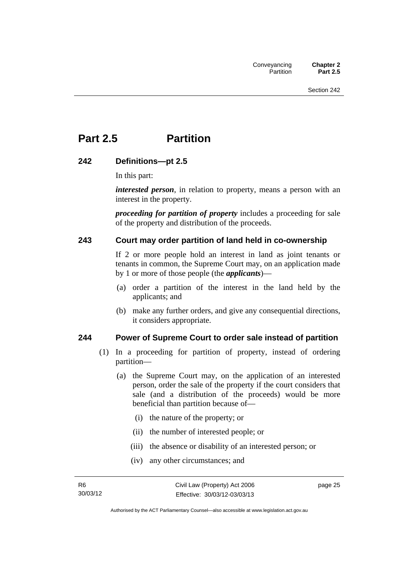## <span id="page-34-0"></span>**Part 2.5 Partition**

### <span id="page-34-1"></span>**242 Definitions—pt 2.5**

In this part:

*interested person*, in relation to property, means a person with an interest in the property.

*proceeding for partition of property* includes a proceeding for sale of the property and distribution of the proceeds.

### <span id="page-34-2"></span>**243 Court may order partition of land held in co-ownership**

If 2 or more people hold an interest in land as joint tenants or tenants in common, the Supreme Court may, on an application made by 1 or more of those people (the *applicants*)—

- (a) order a partition of the interest in the land held by the applicants; and
- (b) make any further orders, and give any consequential directions, it considers appropriate.

#### <span id="page-34-3"></span>**244 Power of Supreme Court to order sale instead of partition**

- (1) In a proceeding for partition of property, instead of ordering partition—
	- (a) the Supreme Court may, on the application of an interested person, order the sale of the property if the court considers that sale (and a distribution of the proceeds) would be more beneficial than partition because of—
		- (i) the nature of the property; or
		- (ii) the number of interested people; or
		- (iii) the absence or disability of an interested person; or
		- (iv) any other circumstances; and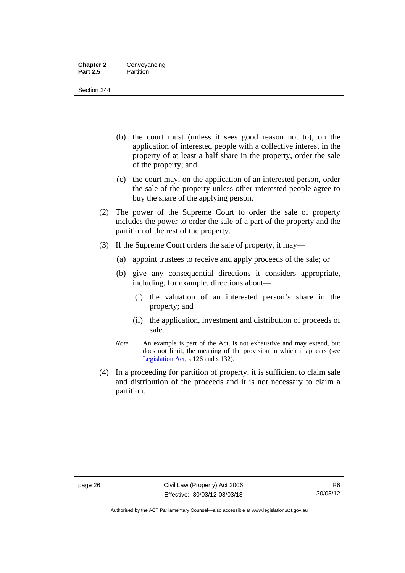#### **Chapter 2** Conveyancing **Part 2.5** Partition

Section 244

- (b) the court must (unless it sees good reason not to), on the application of interested people with a collective interest in the property of at least a half share in the property, order the sale of the property; and
- (c) the court may, on the application of an interested person, order the sale of the property unless other interested people agree to buy the share of the applying person.
- (2) The power of the Supreme Court to order the sale of property includes the power to order the sale of a part of the property and the partition of the rest of the property.
- (3) If the Supreme Court orders the sale of property, it may—
	- (a) appoint trustees to receive and apply proceeds of the sale; or
	- (b) give any consequential directions it considers appropriate, including, for example, directions about—
		- (i) the valuation of an interested person's share in the property; and
		- (ii) the application, investment and distribution of proceeds of sale.
	- *Note* An example is part of the Act, is not exhaustive and may extend, but does not limit, the meaning of the provision in which it appears (see [Legislation Act,](http://www.legislation.act.gov.au/a/2001-14) s 126 and s 132).
- (4) In a proceeding for partition of property, it is sufficient to claim sale and distribution of the proceeds and it is not necessary to claim a partition.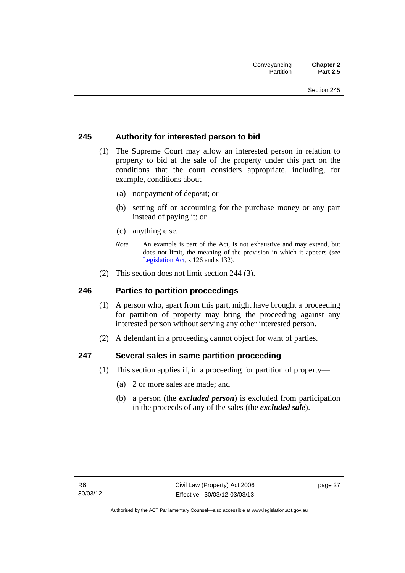#### **245 Authority for interested person to bid**

- (1) The Supreme Court may allow an interested person in relation to property to bid at the sale of the property under this part on the conditions that the court considers appropriate, including, for example, conditions about—
	- (a) nonpayment of deposit; or
	- (b) setting off or accounting for the purchase money or any part instead of paying it; or
	- (c) anything else.
	- *Note* An example is part of the Act, is not exhaustive and may extend, but does not limit, the meaning of the provision in which it appears (see [Legislation Act,](http://www.legislation.act.gov.au/a/2001-14) s 126 and s 132).
- (2) This section does not limit section 244 (3).

#### **246 Parties to partition proceedings**

- (1) A person who, apart from this part, might have brought a proceeding for partition of property may bring the proceeding against any interested person without serving any other interested person.
- (2) A defendant in a proceeding cannot object for want of parties.

#### **247 Several sales in same partition proceeding**

- (1) This section applies if, in a proceeding for partition of property—
	- (a) 2 or more sales are made; and
	- (b) a person (the *excluded person*) is excluded from participation in the proceeds of any of the sales (the *excluded sale*).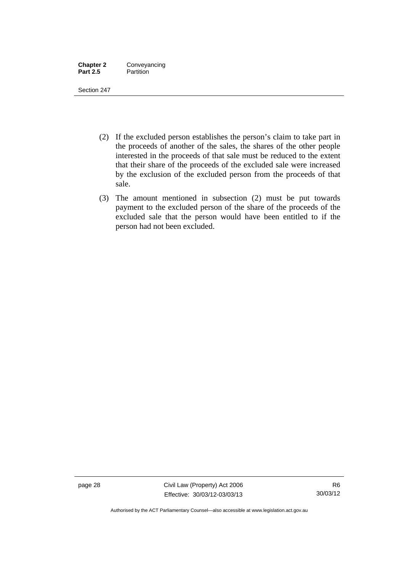| <b>Chapter 2</b> | Conveyancing |
|------------------|--------------|
| <b>Part 2.5</b>  | Partition    |

Section 247

- (2) If the excluded person establishes the person's claim to take part in the proceeds of another of the sales, the shares of the other people interested in the proceeds of that sale must be reduced to the extent that their share of the proceeds of the excluded sale were increased by the exclusion of the excluded person from the proceeds of that sale.
- (3) The amount mentioned in subsection (2) must be put towards payment to the excluded person of the share of the proceeds of the excluded sale that the person would have been entitled to if the person had not been excluded.

page 28 Civil Law (Property) Act 2006 Effective: 30/03/12-03/03/13

Authorised by the ACT Parliamentary Counsel—also accessible at www.legislation.act.gov.au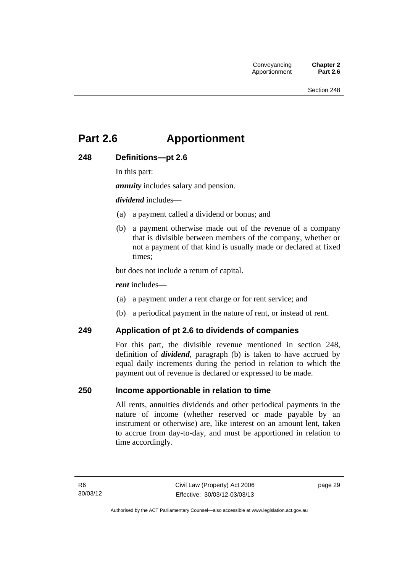# **Part 2.6 Apportionment**

### **248 Definitions—pt 2.6**

In this part:

*annuity* includes salary and pension.

*dividend* includes—

- (a) a payment called a dividend or bonus; and
- (b) a payment otherwise made out of the revenue of a company that is divisible between members of the company, whether or not a payment of that kind is usually made or declared at fixed times;

but does not include a return of capital.

*rent* includes—

- (a) a payment under a rent charge or for rent service; and
- (b) a periodical payment in the nature of rent, or instead of rent.

#### **249 Application of pt 2.6 to dividends of companies**

For this part, the divisible revenue mentioned in section 248, definition of *dividend*, paragraph (b) is taken to have accrued by equal daily increments during the period in relation to which the payment out of revenue is declared or expressed to be made.

#### **250 Income apportionable in relation to time**

All rents, annuities dividends and other periodical payments in the nature of income (whether reserved or made payable by an instrument or otherwise) are, like interest on an amount lent, taken to accrue from day-to-day, and must be apportioned in relation to time accordingly.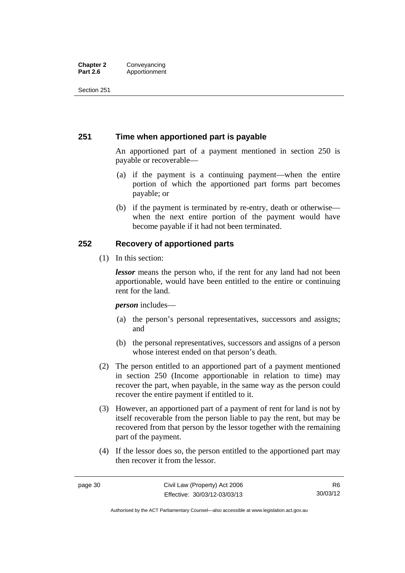#### **Chapter 2 Conveyancing**<br>**Part 2.6 Apportionment Part 2.6** Apportionment

Section 251

#### **251 Time when apportioned part is payable**

An apportioned part of a payment mentioned in section 250 is payable or recoverable—

- (a) if the payment is a continuing payment—when the entire portion of which the apportioned part forms part becomes payable; or
- (b) if the payment is terminated by re-entry, death or otherwise when the next entire portion of the payment would have become payable if it had not been terminated.

### **252 Recovery of apportioned parts**

(1) In this section:

*lessor* means the person who, if the rent for any land had not been apportionable, would have been entitled to the entire or continuing rent for the land.

*person* includes—

- (a) the person's personal representatives, successors and assigns; and
- (b) the personal representatives, successors and assigns of a person whose interest ended on that person's death.
- (2) The person entitled to an apportioned part of a payment mentioned in section 250 (Income apportionable in relation to time) may recover the part, when payable, in the same way as the person could recover the entire payment if entitled to it.
- (3) However, an apportioned part of a payment of rent for land is not by itself recoverable from the person liable to pay the rent, but may be recovered from that person by the lessor together with the remaining part of the payment.
- (4) If the lessor does so, the person entitled to the apportioned part may then recover it from the lessor.

Authorised by the ACT Parliamentary Counsel—also accessible at www.legislation.act.gov.au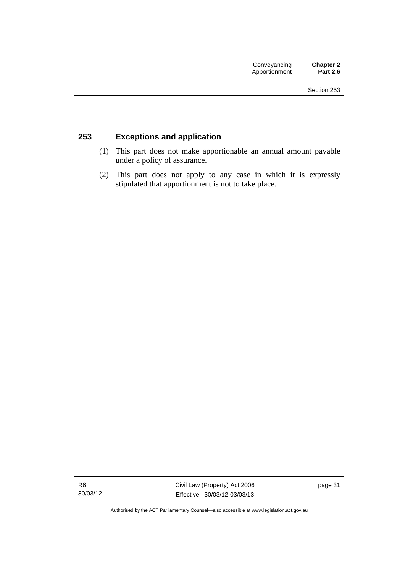### **253 Exceptions and application**

- (1) This part does not make apportionable an annual amount payable under a policy of assurance.
- (2) This part does not apply to any case in which it is expressly stipulated that apportionment is not to take place.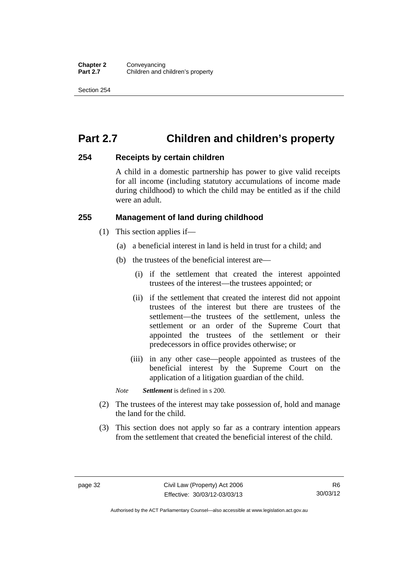# **Part 2.7 Children and children's property**

#### **254 Receipts by certain children**

A child in a domestic partnership has power to give valid receipts for all income (including statutory accumulations of income made during childhood) to which the child may be entitled as if the child were an adult.

#### **255 Management of land during childhood**

- (1) This section applies if—
	- (a) a beneficial interest in land is held in trust for a child; and
	- (b) the trustees of the beneficial interest are—
		- (i) if the settlement that created the interest appointed trustees of the interest—the trustees appointed; or
		- (ii) if the settlement that created the interest did not appoint trustees of the interest but there are trustees of the settlement—the trustees of the settlement, unless the settlement or an order of the Supreme Court that appointed the trustees of the settlement or their predecessors in office provides otherwise; or
		- (iii) in any other case—people appointed as trustees of the beneficial interest by the Supreme Court on the application of a litigation guardian of the child.

*Note Settlement* is defined in s 200.

- (2) The trustees of the interest may take possession of, hold and manage the land for the child.
- (3) This section does not apply so far as a contrary intention appears from the settlement that created the beneficial interest of the child.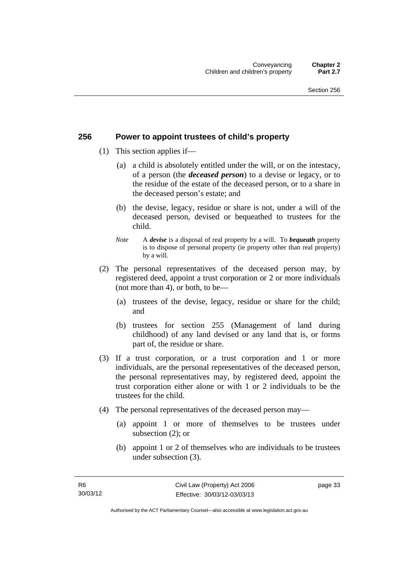#### **256 Power to appoint trustees of child's property**

- (1) This section applies if—
	- (a) a child is absolutely entitled under the will, or on the intestacy, of a person (the *deceased person*) to a devise or legacy, or to the residue of the estate of the deceased person, or to a share in the deceased person's estate; and
	- (b) the devise, legacy, residue or share is not, under a will of the deceased person, devised or bequeathed to trustees for the child.
	- *Note* A *devise* is a disposal of real property by a will. To *bequeath* property is to dispose of personal property (ie property other than real property) by a will.
- (2) The personal representatives of the deceased person may, by registered deed, appoint a trust corporation or 2 or more individuals (not more than 4), or both, to be—
	- (a) trustees of the devise, legacy, residue or share for the child; and
	- (b) trustees for section 255 (Management of land during childhood) of any land devised or any land that is, or forms part of, the residue or share.
- (3) If a trust corporation, or a trust corporation and 1 or more individuals, are the personal representatives of the deceased person, the personal representatives may, by registered deed, appoint the trust corporation either alone or with 1 or 2 individuals to be the trustees for the child.
- (4) The personal representatives of the deceased person may—
	- (a) appoint 1 or more of themselves to be trustees under subsection (2); or
	- (b) appoint 1 or 2 of themselves who are individuals to be trustees under subsection (3).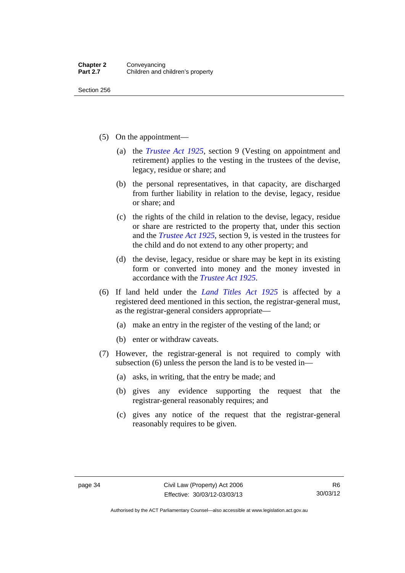Section 256

- (5) On the appointment—
	- (a) the *[Trustee Act 1925](http://www.legislation.act.gov.au/a/1925-14)*, section 9 (Vesting on appointment and retirement) applies to the vesting in the trustees of the devise, legacy, residue or share; and
	- (b) the personal representatives, in that capacity, are discharged from further liability in relation to the devise, legacy, residue or share; and
	- (c) the rights of the child in relation to the devise, legacy, residue or share are restricted to the property that, under this section and the *[Trustee Act 1925](http://www.legislation.act.gov.au/a/1925-14)*, section 9, is vested in the trustees for the child and do not extend to any other property; and
	- (d) the devise, legacy, residue or share may be kept in its existing form or converted into money and the money invested in accordance with the *[Trustee Act 1925](http://www.legislation.act.gov.au/a/1925-14)*.
- (6) If land held under the *[Land Titles Act 1925](http://www.legislation.act.gov.au/a/1925-1)* is affected by a registered deed mentioned in this section, the registrar-general must, as the registrar-general considers appropriate—
	- (a) make an entry in the register of the vesting of the land; or
	- (b) enter or withdraw caveats.
- (7) However, the registrar-general is not required to comply with subsection (6) unless the person the land is to be vested in—
	- (a) asks, in writing, that the entry be made; and
	- (b) gives any evidence supporting the request that the registrar-general reasonably requires; and
	- (c) gives any notice of the request that the registrar-general reasonably requires to be given.

Authorised by the ACT Parliamentary Counsel—also accessible at www.legislation.act.gov.au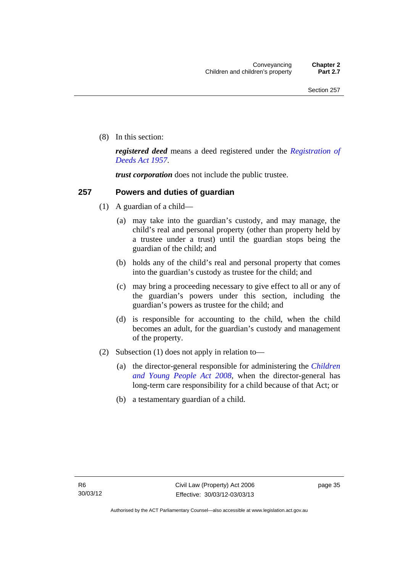(8) In this section:

*registered deed* means a deed registered under the *[Registration of](http://www.legislation.act.gov.au/a/1957-13)  [Deeds Act 1957](http://www.legislation.act.gov.au/a/1957-13)*.

*trust corporation* does not include the public trustee.

#### **257 Powers and duties of guardian**

- (1) A guardian of a child—
	- (a) may take into the guardian's custody, and may manage, the child's real and personal property (other than property held by a trustee under a trust) until the guardian stops being the guardian of the child; and
	- (b) holds any of the child's real and personal property that comes into the guardian's custody as trustee for the child; and
	- (c) may bring a proceeding necessary to give effect to all or any of the guardian's powers under this section, including the guardian's powers as trustee for the child; and
	- (d) is responsible for accounting to the child, when the child becomes an adult, for the guardian's custody and management of the property.
- (2) Subsection (1) does not apply in relation to—
	- (a) the director-general responsible for administering the *[Children](http://www.legislation.act.gov.au/a/2008-19)  [and Young People Act 2008](http://www.legislation.act.gov.au/a/2008-19)*, when the director-general has long-term care responsibility for a child because of that Act; or
	- (b) a testamentary guardian of a child.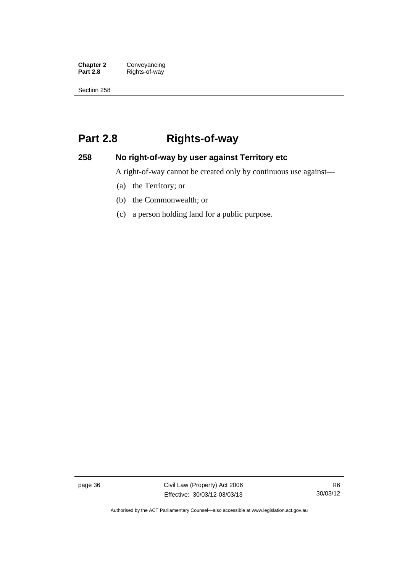**Chapter 2 Conveyancing**<br>**Part 2.8 Rights-of-way Part 2.8** Rights-of-way

Section 258

# **Part 2.8 Rights-of-way**

### **258 No right-of-way by user against Territory etc**

A right-of-way cannot be created only by continuous use against—

- (a) the Territory; or
- (b) the Commonwealth; or
- (c) a person holding land for a public purpose.

page 36 Civil Law (Property) Act 2006 Effective: 30/03/12-03/03/13

R6 30/03/12

Authorised by the ACT Parliamentary Counsel—also accessible at www.legislation.act.gov.au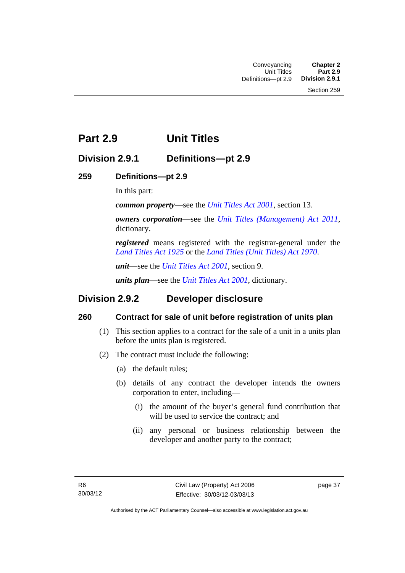## **Part 2.9 Unit Titles**

### **Division 2.9.1 Definitions—pt 2.9**

### **259 Definitions—pt 2.9**

In this part:

*common property*—see the *[Unit Titles Act 2001](http://www.legislation.act.gov.au/a/2001-16)*, section 13.

*owners corporation*—see the *[Unit Titles \(Management\) Act 2011](http://www.legislation.act.gov.au/a/2011-41)*, dictionary.

*registered* means registered with the registrar-general under the *[Land Titles Act 1925](http://www.legislation.act.gov.au/a/1925-1)* or the *[Land Titles \(Unit Titles\) Act 1970](http://www.legislation.act.gov.au/a/1970-32)*.

*unit*—see the *[Unit Titles Act 2001](http://www.legislation.act.gov.au/a/2001-16)*, section 9.

*units plan*—see the *[Unit Titles Act 2001](http://www.legislation.act.gov.au/a/2001-16)*, dictionary.

### **Division 2.9.2 Developer disclosure**

### **260 Contract for sale of unit before registration of units plan**

- (1) This section applies to a contract for the sale of a unit in a units plan before the units plan is registered.
- (2) The contract must include the following:
	- (a) the default rules;
	- (b) details of any contract the developer intends the owners corporation to enter, including—
		- (i) the amount of the buyer's general fund contribution that will be used to service the contract; and
		- (ii) any personal or business relationship between the developer and another party to the contract;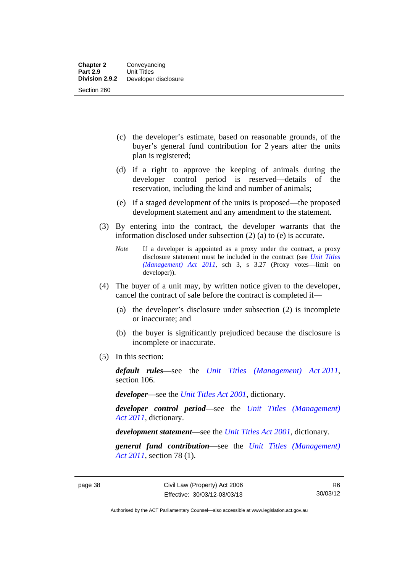- (c) the developer's estimate, based on reasonable grounds, of the buyer's general fund contribution for 2 years after the units plan is registered;
- (d) if a right to approve the keeping of animals during the developer control period is reserved—details of the reservation, including the kind and number of animals;
- (e) if a staged development of the units is proposed—the proposed development statement and any amendment to the statement.
- (3) By entering into the contract, the developer warrants that the information disclosed under subsection (2) (a) to (e) is accurate.
	- *Note* If a developer is appointed as a proxy under the contract, a proxy disclosure statement must be included in the contract (see *[Unit Titles](http://www.legislation.act.gov.au/a/2011-41)  [\(Management\) Act 2011](http://www.legislation.act.gov.au/a/2011-41)*, sch 3, s 3.27 (Proxy votes—limit on developer)).
- (4) The buyer of a unit may, by written notice given to the developer, cancel the contract of sale before the contract is completed if—
	- (a) the developer's disclosure under subsection (2) is incomplete or inaccurate; and
	- (b) the buyer is significantly prejudiced because the disclosure is incomplete or inaccurate.
- (5) In this section:

*default rules*—see the *[Unit Titles \(Management\) Act 2011](http://www.legislation.act.gov.au/a/2011-41)*, section 106.

*developer*—see the *[Unit Titles Act 2001](http://www.legislation.act.gov.au/a/2001-16)*, dictionary.

*developer control period*—see the *[Unit Titles \(Management\)](http://www.legislation.act.gov.au/a/2011-41)  [Act 2011](http://www.legislation.act.gov.au/a/2011-41)*, dictionary.

*development statement*—see the *[Unit Titles Act 2001](http://www.legislation.act.gov.au/a/2001-16)*, dictionary.

*general fund contribution*—see the *[Unit Titles \(Management\)](http://www.legislation.act.gov.au/a/2011-41)  [Act 2011](http://www.legislation.act.gov.au/a/2011-41)*, section 78 (1).

Authorised by the ACT Parliamentary Counsel—also accessible at www.legislation.act.gov.au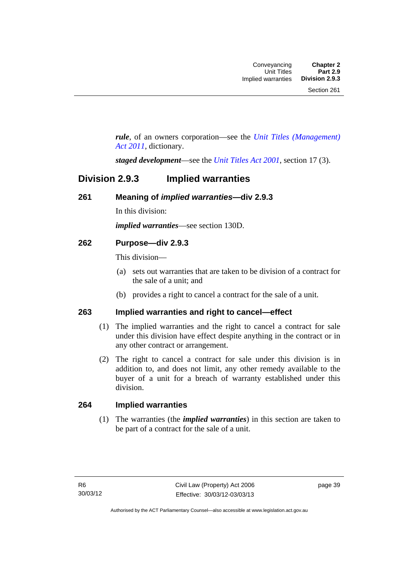*rule*, of an owners corporation—see the *[Unit Titles \(Management\)](http://www.legislation.act.gov.au/a/2011-41)  [Act 2011](http://www.legislation.act.gov.au/a/2011-41)*, dictionary.

*staged development*—see the *[Unit Titles Act 2001](http://www.legislation.act.gov.au/a/2001-16)*, section 17 (3).

### **Division 2.9.3 Implied warranties**

#### **261 Meaning of** *implied warranties***—div 2.9.3**

In this division:

*implied warranties*—see section 130D.

### **262 Purpose—div 2.9.3**

This division—

- (a) sets out warranties that are taken to be division of a contract for the sale of a unit; and
- (b) provides a right to cancel a contract for the sale of a unit.

#### **263 Implied warranties and right to cancel—effect**

- (1) The implied warranties and the right to cancel a contract for sale under this division have effect despite anything in the contract or in any other contract or arrangement.
- (2) The right to cancel a contract for sale under this division is in addition to, and does not limit, any other remedy available to the buyer of a unit for a breach of warranty established under this division.

#### **264 Implied warranties**

(1) The warranties (the *implied warranties*) in this section are taken to be part of a contract for the sale of a unit.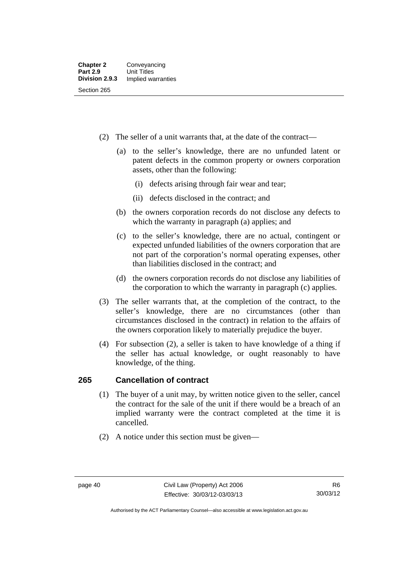- (2) The seller of a unit warrants that, at the date of the contract—
	- (a) to the seller's knowledge, there are no unfunded latent or patent defects in the common property or owners corporation assets, other than the following:
		- (i) defects arising through fair wear and tear;
		- (ii) defects disclosed in the contract; and
	- (b) the owners corporation records do not disclose any defects to which the warranty in paragraph (a) applies; and
	- (c) to the seller's knowledge, there are no actual, contingent or expected unfunded liabilities of the owners corporation that are not part of the corporation's normal operating expenses, other than liabilities disclosed in the contract; and
	- (d) the owners corporation records do not disclose any liabilities of the corporation to which the warranty in paragraph (c) applies.
- (3) The seller warrants that, at the completion of the contract, to the seller's knowledge, there are no circumstances (other than circumstances disclosed in the contract) in relation to the affairs of the owners corporation likely to materially prejudice the buyer.
- (4) For subsection (2), a seller is taken to have knowledge of a thing if the seller has actual knowledge, or ought reasonably to have knowledge, of the thing.

### **265 Cancellation of contract**

- (1) The buyer of a unit may, by written notice given to the seller, cancel the contract for the sale of the unit if there would be a breach of an implied warranty were the contract completed at the time it is cancelled.
- (2) A notice under this section must be given—

Authorised by the ACT Parliamentary Counsel—also accessible at www.legislation.act.gov.au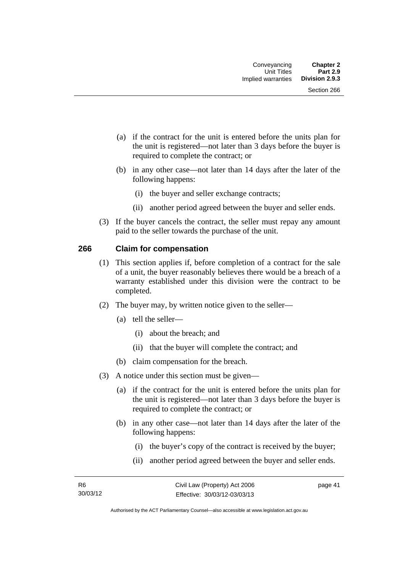- (a) if the contract for the unit is entered before the units plan for the unit is registered—not later than 3 days before the buyer is required to complete the contract; or
- (b) in any other case—not later than 14 days after the later of the following happens:
	- (i) the buyer and seller exchange contracts;
	- (ii) another period agreed between the buyer and seller ends.
- (3) If the buyer cancels the contract, the seller must repay any amount paid to the seller towards the purchase of the unit.

#### **266 Claim for compensation**

- (1) This section applies if, before completion of a contract for the sale of a unit, the buyer reasonably believes there would be a breach of a warranty established under this division were the contract to be completed.
- (2) The buyer may, by written notice given to the seller—
	- (a) tell the seller—
		- (i) about the breach; and
		- (ii) that the buyer will complete the contract; and
	- (b) claim compensation for the breach.
- (3) A notice under this section must be given—
	- (a) if the contract for the unit is entered before the units plan for the unit is registered—not later than 3 days before the buyer is required to complete the contract; or
	- (b) in any other case—not later than 14 days after the later of the following happens:
		- (i) the buyer's copy of the contract is received by the buyer;
		- (ii) another period agreed between the buyer and seller ends.

page 41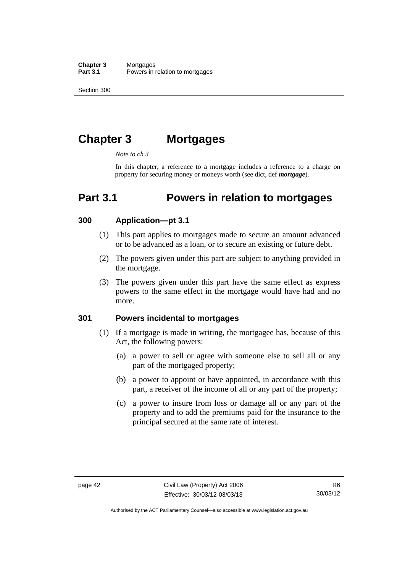**Chapter 3** Mortgages<br>**Part 3.1** Powers in i Powers in relation to mortgages

Section 300

# **Chapter 3 Mortgages**

*Note to ch 3* 

In this chapter, a reference to a mortgage includes a reference to a charge on property for securing money or moneys worth (see dict, def *mortgage*).

## **Part 3.1 Powers in relation to mortgages**

#### **300 Application—pt 3.1**

- (1) This part applies to mortgages made to secure an amount advanced or to be advanced as a loan, or to secure an existing or future debt.
- (2) The powers given under this part are subject to anything provided in the mortgage.
- (3) The powers given under this part have the same effect as express powers to the same effect in the mortgage would have had and no more.

#### **301 Powers incidental to mortgages**

- (1) If a mortgage is made in writing, the mortgagee has, because of this Act, the following powers:
	- (a) a power to sell or agree with someone else to sell all or any part of the mortgaged property;
	- (b) a power to appoint or have appointed, in accordance with this part, a receiver of the income of all or any part of the property;
	- (c) a power to insure from loss or damage all or any part of the property and to add the premiums paid for the insurance to the principal secured at the same rate of interest.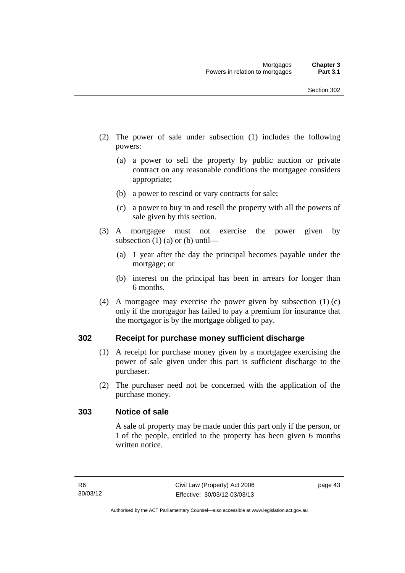- (2) The power of sale under subsection (1) includes the following powers:
	- (a) a power to sell the property by public auction or private contract on any reasonable conditions the mortgagee considers appropriate;
	- (b) a power to rescind or vary contracts for sale;
	- (c) a power to buy in and resell the property with all the powers of sale given by this section.
- (3) A mortgagee must not exercise the power given by subsection  $(1)$  (a) or (b) until—
	- (a) 1 year after the day the principal becomes payable under the mortgage; or
	- (b) interest on the principal has been in arrears for longer than 6 months.
- (4) A mortgagee may exercise the power given by subsection (1) (c) only if the mortgagor has failed to pay a premium for insurance that the mortgagor is by the mortgage obliged to pay.

#### **302 Receipt for purchase money sufficient discharge**

- (1) A receipt for purchase money given by a mortgagee exercising the power of sale given under this part is sufficient discharge to the purchaser.
- (2) The purchaser need not be concerned with the application of the purchase money.

#### **303 Notice of sale**

A sale of property may be made under this part only if the person, or 1 of the people, entitled to the property has been given 6 months written notice.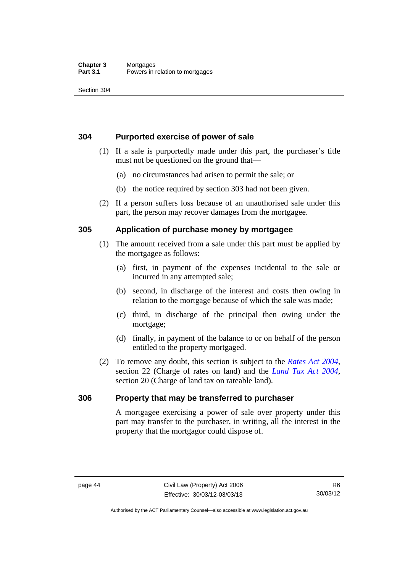#### **Chapter 3** Mortgages<br>**Part 3.1** Powers in Powers in relation to mortgages

Section 304

#### **304 Purported exercise of power of sale**

- (1) If a sale is purportedly made under this part, the purchaser's title must not be questioned on the ground that—
	- (a) no circumstances had arisen to permit the sale; or
	- (b) the notice required by section 303 had not been given.
- (2) If a person suffers loss because of an unauthorised sale under this part, the person may recover damages from the mortgagee.

#### **305 Application of purchase money by mortgagee**

- (1) The amount received from a sale under this part must be applied by the mortgagee as follows:
	- (a) first, in payment of the expenses incidental to the sale or incurred in any attempted sale;
	- (b) second, in discharge of the interest and costs then owing in relation to the mortgage because of which the sale was made;
	- (c) third, in discharge of the principal then owing under the mortgage;
	- (d) finally, in payment of the balance to or on behalf of the person entitled to the property mortgaged.
- (2) To remove any doubt, this section is subject to the *[Rates Act 2004](http://www.legislation.act.gov.au/a/2004-3)*, section 22 (Charge of rates on land) and the *[Land Tax Act 2004](http://www.legislation.act.gov.au/a/2004-4)*, section 20 (Charge of land tax on rateable land).

#### **306 Property that may be transferred to purchaser**

A mortgagee exercising a power of sale over property under this part may transfer to the purchaser, in writing, all the interest in the property that the mortgagor could dispose of.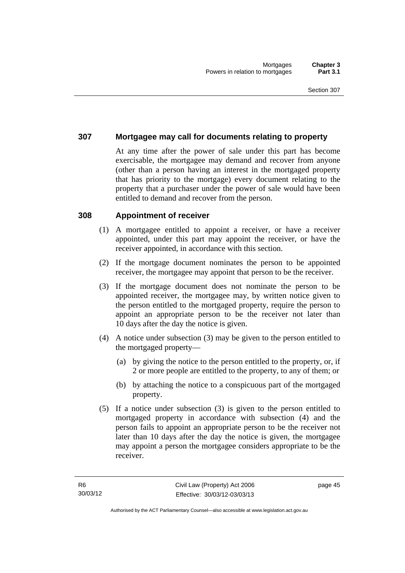#### **307 Mortgagee may call for documents relating to property**

At any time after the power of sale under this part has become exercisable, the mortgagee may demand and recover from anyone (other than a person having an interest in the mortgaged property that has priority to the mortgage) every document relating to the property that a purchaser under the power of sale would have been entitled to demand and recover from the person.

#### **308 Appointment of receiver**

- (1) A mortgagee entitled to appoint a receiver, or have a receiver appointed, under this part may appoint the receiver, or have the receiver appointed, in accordance with this section.
- (2) If the mortgage document nominates the person to be appointed receiver, the mortgagee may appoint that person to be the receiver.
- (3) If the mortgage document does not nominate the person to be appointed receiver, the mortgagee may, by written notice given to the person entitled to the mortgaged property, require the person to appoint an appropriate person to be the receiver not later than 10 days after the day the notice is given.
- (4) A notice under subsection (3) may be given to the person entitled to the mortgaged property—
	- (a) by giving the notice to the person entitled to the property, or, if 2 or more people are entitled to the property, to any of them; or
	- (b) by attaching the notice to a conspicuous part of the mortgaged property.
- (5) If a notice under subsection (3) is given to the person entitled to mortgaged property in accordance with subsection (4) and the person fails to appoint an appropriate person to be the receiver not later than 10 days after the day the notice is given, the mortgagee may appoint a person the mortgagee considers appropriate to be the receiver.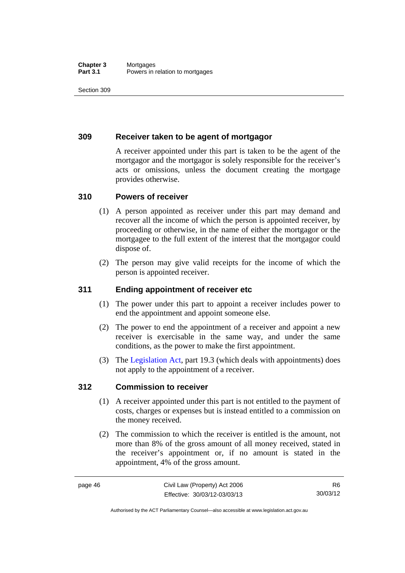#### **Chapter 3** Mortgages<br>**Part 3.1** Powers in i Powers in relation to mortgages

Section 309

#### **309 Receiver taken to be agent of mortgagor**

A receiver appointed under this part is taken to be the agent of the mortgagor and the mortgagor is solely responsible for the receiver's acts or omissions, unless the document creating the mortgage provides otherwise.

#### **310 Powers of receiver**

- (1) A person appointed as receiver under this part may demand and recover all the income of which the person is appointed receiver, by proceeding or otherwise, in the name of either the mortgagor or the mortgagee to the full extent of the interest that the mortgagor could dispose of.
- (2) The person may give valid receipts for the income of which the person is appointed receiver.

### **311 Ending appointment of receiver etc**

- (1) The power under this part to appoint a receiver includes power to end the appointment and appoint someone else.
- (2) The power to end the appointment of a receiver and appoint a new receiver is exercisable in the same way, and under the same conditions, as the power to make the first appointment.
- (3) The [Legislation Act](http://www.legislation.act.gov.au/a/2001-14), part 19.3 (which deals with appointments) does not apply to the appointment of a receiver.

#### **312 Commission to receiver**

- (1) A receiver appointed under this part is not entitled to the payment of costs, charges or expenses but is instead entitled to a commission on the money received.
- (2) The commission to which the receiver is entitled is the amount, not more than 8% of the gross amount of all money received, stated in the receiver's appointment or, if no amount is stated in the appointment, 4% of the gross amount.

R6 30/03/12

Authorised by the ACT Parliamentary Counsel—also accessible at www.legislation.act.gov.au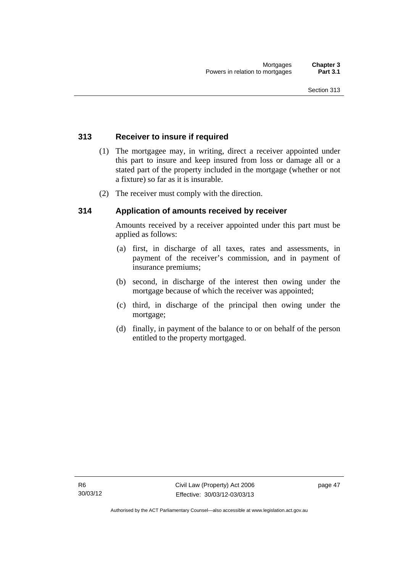#### **313 Receiver to insure if required**

- (1) The mortgagee may, in writing, direct a receiver appointed under this part to insure and keep insured from loss or damage all or a stated part of the property included in the mortgage (whether or not a fixture) so far as it is insurable.
- (2) The receiver must comply with the direction.

#### **314 Application of amounts received by receiver**

Amounts received by a receiver appointed under this part must be applied as follows:

- (a) first, in discharge of all taxes, rates and assessments, in payment of the receiver's commission, and in payment of insurance premiums;
- (b) second, in discharge of the interest then owing under the mortgage because of which the receiver was appointed;
- (c) third, in discharge of the principal then owing under the mortgage;
- (d) finally, in payment of the balance to or on behalf of the person entitled to the property mortgaged.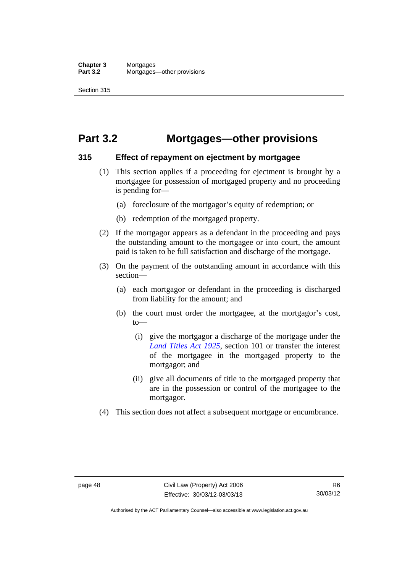## **Part 3.2 Mortgages—other provisions**

#### **315 Effect of repayment on ejectment by mortgagee**

- (1) This section applies if a proceeding for ejectment is brought by a mortgagee for possession of mortgaged property and no proceeding is pending for—
	- (a) foreclosure of the mortgagor's equity of redemption; or
	- (b) redemption of the mortgaged property.
- (2) If the mortgagor appears as a defendant in the proceeding and pays the outstanding amount to the mortgagee or into court, the amount paid is taken to be full satisfaction and discharge of the mortgage.
- (3) On the payment of the outstanding amount in accordance with this section—
	- (a) each mortgagor or defendant in the proceeding is discharged from liability for the amount; and
	- (b) the court must order the mortgagee, at the mortgagor's cost, to—
		- (i) give the mortgagor a discharge of the mortgage under the *[Land Titles Act 1925](http://www.legislation.act.gov.au/a/1925-1)*, section 101 or transfer the interest of the mortgagee in the mortgaged property to the mortgagor; and
		- (ii) give all documents of title to the mortgaged property that are in the possession or control of the mortgagee to the mortgagor.
- (4) This section does not affect a subsequent mortgage or encumbrance.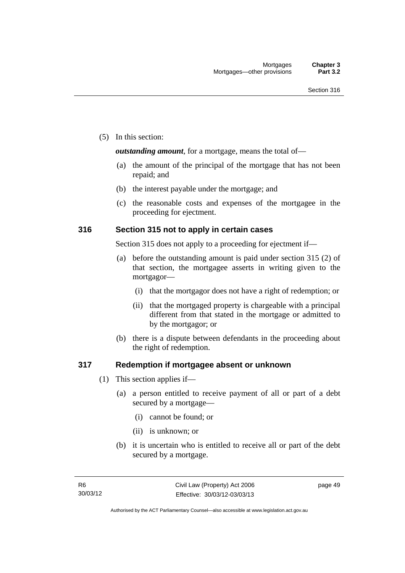(5) In this section:

*outstanding amount*, for a mortgage, means the total of—

- (a) the amount of the principal of the mortgage that has not been repaid; and
- (b) the interest payable under the mortgage; and
- (c) the reasonable costs and expenses of the mortgagee in the proceeding for ejectment.

#### **316 Section 315 not to apply in certain cases**

Section 315 does not apply to a proceeding for ejectment if—

- (a) before the outstanding amount is paid under section 315 (2) of that section, the mortgagee asserts in writing given to the mortgagor—
	- (i) that the mortgagor does not have a right of redemption; or
	- (ii) that the mortgaged property is chargeable with a principal different from that stated in the mortgage or admitted to by the mortgagor; or
- (b) there is a dispute between defendants in the proceeding about the right of redemption.

#### **317 Redemption if mortgagee absent or unknown**

- (1) This section applies if—
	- (a) a person entitled to receive payment of all or part of a debt secured by a mortgage—
		- (i) cannot be found; or
		- (ii) is unknown; or
	- (b) it is uncertain who is entitled to receive all or part of the debt secured by a mortgage.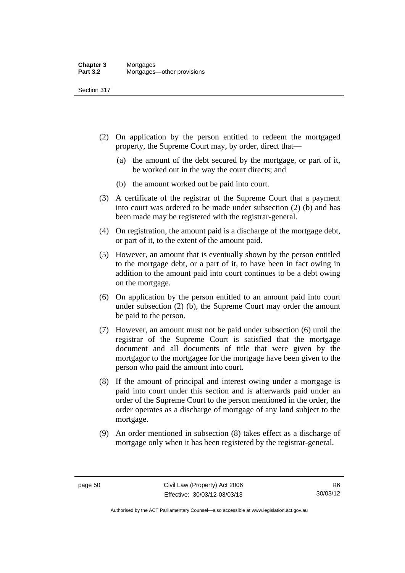Section 317

- (2) On application by the person entitled to redeem the mortgaged property, the Supreme Court may, by order, direct that—
	- (a) the amount of the debt secured by the mortgage, or part of it, be worked out in the way the court directs; and
	- (b) the amount worked out be paid into court.
- (3) A certificate of the registrar of the Supreme Court that a payment into court was ordered to be made under subsection (2) (b) and has been made may be registered with the registrar-general.
- (4) On registration, the amount paid is a discharge of the mortgage debt, or part of it, to the extent of the amount paid.
- (5) However, an amount that is eventually shown by the person entitled to the mortgage debt, or a part of it, to have been in fact owing in addition to the amount paid into court continues to be a debt owing on the mortgage.
- (6) On application by the person entitled to an amount paid into court under subsection (2) (b), the Supreme Court may order the amount be paid to the person.
- (7) However, an amount must not be paid under subsection (6) until the registrar of the Supreme Court is satisfied that the mortgage document and all documents of title that were given by the mortgagor to the mortgagee for the mortgage have been given to the person who paid the amount into court.
- (8) If the amount of principal and interest owing under a mortgage is paid into court under this section and is afterwards paid under an order of the Supreme Court to the person mentioned in the order, the order operates as a discharge of mortgage of any land subject to the mortgage.
- (9) An order mentioned in subsection (8) takes effect as a discharge of mortgage only when it has been registered by the registrar-general.

Authorised by the ACT Parliamentary Counsel—also accessible at www.legislation.act.gov.au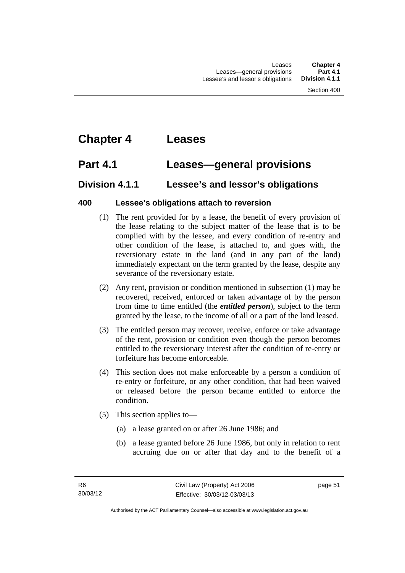# **Chapter 4 Leases**

### **Part 4.1 Leases—general provisions**

### **Division 4.1.1 Lessee's and lessor's obligations**

### **400 Lessee's obligations attach to reversion**

- (1) The rent provided for by a lease, the benefit of every provision of the lease relating to the subject matter of the lease that is to be complied with by the lessee, and every condition of re-entry and other condition of the lease, is attached to, and goes with, the reversionary estate in the land (and in any part of the land) immediately expectant on the term granted by the lease, despite any severance of the reversionary estate.
- (2) Any rent, provision or condition mentioned in subsection (1) may be recovered, received, enforced or taken advantage of by the person from time to time entitled (the *entitled person*), subject to the term granted by the lease, to the income of all or a part of the land leased.
- (3) The entitled person may recover, receive, enforce or take advantage of the rent, provision or condition even though the person becomes entitled to the reversionary interest after the condition of re-entry or forfeiture has become enforceable.
- (4) This section does not make enforceable by a person a condition of re-entry or forfeiture, or any other condition, that had been waived or released before the person became entitled to enforce the condition.
- (5) This section applies to—
	- (a) a lease granted on or after 26 June 1986; and
	- (b) a lease granted before 26 June 1986, but only in relation to rent accruing due on or after that day and to the benefit of a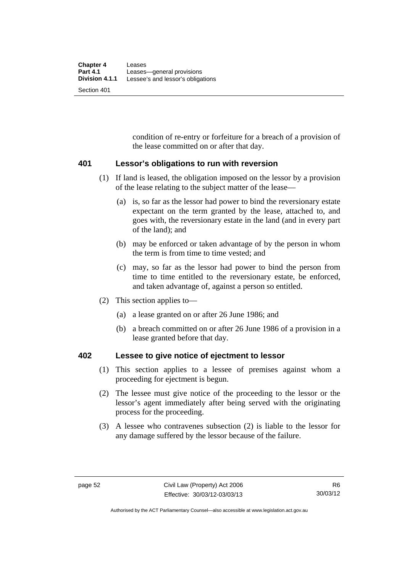condition of re-entry or forfeiture for a breach of a provision of the lease committed on or after that day.

#### **401 Lessor's obligations to run with reversion**

- (1) If land is leased, the obligation imposed on the lessor by a provision of the lease relating to the subject matter of the lease—
	- (a) is, so far as the lessor had power to bind the reversionary estate expectant on the term granted by the lease, attached to, and goes with, the reversionary estate in the land (and in every part of the land); and
	- (b) may be enforced or taken advantage of by the person in whom the term is from time to time vested; and
	- (c) may, so far as the lessor had power to bind the person from time to time entitled to the reversionary estate, be enforced, and taken advantage of, against a person so entitled.
- (2) This section applies to—
	- (a) a lease granted on or after 26 June 1986; and
	- (b) a breach committed on or after 26 June 1986 of a provision in a lease granted before that day.

### **402 Lessee to give notice of ejectment to lessor**

- (1) This section applies to a lessee of premises against whom a proceeding for ejectment is begun.
- (2) The lessee must give notice of the proceeding to the lessor or the lessor's agent immediately after being served with the originating process for the proceeding.
- (3) A lessee who contravenes subsection (2) is liable to the lessor for any damage suffered by the lessor because of the failure.

Authorised by the ACT Parliamentary Counsel—also accessible at www.legislation.act.gov.au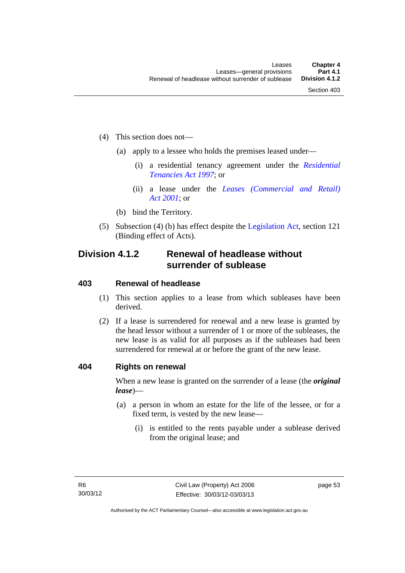- (4) This section does not—
	- (a) apply to a lessee who holds the premises leased under—
		- (i) a residential tenancy agreement under the *[Residential](http://www.legislation.act.gov.au/a/1997-84)  [Tenancies Act 1997](http://www.legislation.act.gov.au/a/1997-84)*; or
		- (ii) a lease under the *[Leases \(Commercial and Retail\)](http://www.legislation.act.gov.au/a/2001-18)  [Act 2001](http://www.legislation.act.gov.au/a/2001-18)*; or
	- (b) bind the Territory.
- (5) Subsection (4) (b) has effect despite the [Legislation Act](http://www.legislation.act.gov.au/a/2001-14), section 121 (Binding effect of Acts).

### **Division 4.1.2 Renewal of headlease without surrender of sublease**

#### **403 Renewal of headlease**

- (1) This section applies to a lease from which subleases have been derived.
- (2) If a lease is surrendered for renewal and a new lease is granted by the head lessor without a surrender of 1 or more of the subleases, the new lease is as valid for all purposes as if the subleases had been surrendered for renewal at or before the grant of the new lease.

#### **404 Rights on renewal**

When a new lease is granted on the surrender of a lease (the *original lease*)—

- (a) a person in whom an estate for the life of the lessee, or for a fixed term, is vested by the new lease—
	- (i) is entitled to the rents payable under a sublease derived from the original lease; and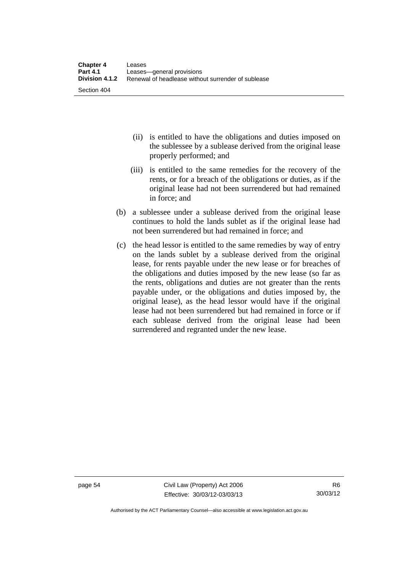- (ii) is entitled to have the obligations and duties imposed on the sublessee by a sublease derived from the original lease properly performed; and
- (iii) is entitled to the same remedies for the recovery of the rents, or for a breach of the obligations or duties, as if the original lease had not been surrendered but had remained in force; and
- (b) a sublessee under a sublease derived from the original lease continues to hold the lands sublet as if the original lease had not been surrendered but had remained in force; and
- (c) the head lessor is entitled to the same remedies by way of entry on the lands sublet by a sublease derived from the original lease, for rents payable under the new lease or for breaches of the obligations and duties imposed by the new lease (so far as the rents, obligations and duties are not greater than the rents payable under, or the obligations and duties imposed by, the original lease), as the head lessor would have if the original lease had not been surrendered but had remained in force or if each sublease derived from the original lease had been surrendered and regranted under the new lease.

Authorised by the ACT Parliamentary Counsel—also accessible at www.legislation.act.gov.au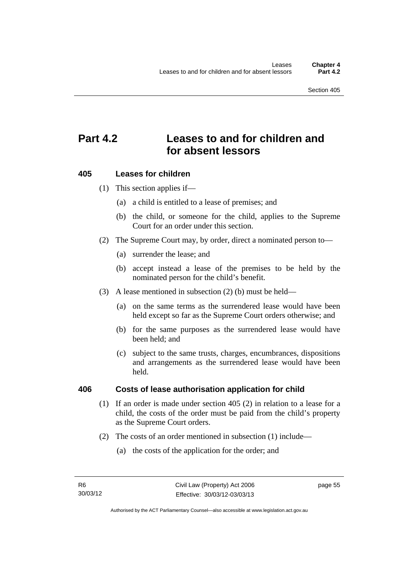# **Part 4.2 Leases to and for children and for absent lessors**

#### **405 Leases for children**

(1) This section applies if—

- (a) a child is entitled to a lease of premises; and
- (b) the child, or someone for the child, applies to the Supreme Court for an order under this section.
- (2) The Supreme Court may, by order, direct a nominated person to—
	- (a) surrender the lease; and
	- (b) accept instead a lease of the premises to be held by the nominated person for the child's benefit.
- (3) A lease mentioned in subsection (2) (b) must be held—
	- (a) on the same terms as the surrendered lease would have been held except so far as the Supreme Court orders otherwise; and
	- (b) for the same purposes as the surrendered lease would have been held; and
	- (c) subject to the same trusts, charges, encumbrances, dispositions and arrangements as the surrendered lease would have been held.

#### **406 Costs of lease authorisation application for child**

- (1) If an order is made under section 405 (2) in relation to a lease for a child, the costs of the order must be paid from the child's property as the Supreme Court orders.
- (2) The costs of an order mentioned in subsection (1) include—
	- (a) the costs of the application for the order; and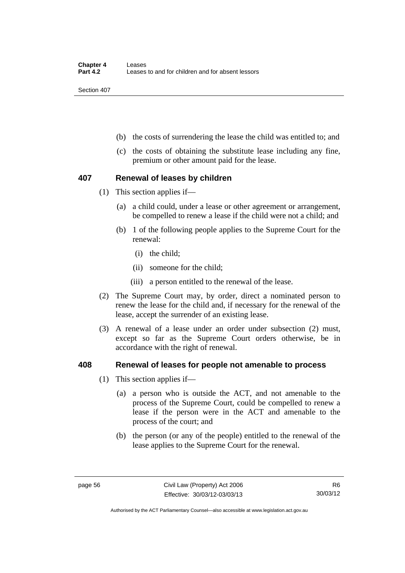Section 407

- (b) the costs of surrendering the lease the child was entitled to; and
- (c) the costs of obtaining the substitute lease including any fine, premium or other amount paid for the lease.

#### **407 Renewal of leases by children**

- (1) This section applies if—
	- (a) a child could, under a lease or other agreement or arrangement, be compelled to renew a lease if the child were not a child; and
	- (b) 1 of the following people applies to the Supreme Court for the renewal:
		- (i) the child;
		- (ii) someone for the child;
		- (iii) a person entitled to the renewal of the lease.
- (2) The Supreme Court may, by order, direct a nominated person to renew the lease for the child and, if necessary for the renewal of the lease, accept the surrender of an existing lease.
- (3) A renewal of a lease under an order under subsection (2) must, except so far as the Supreme Court orders otherwise, be in accordance with the right of renewal.

#### **408 Renewal of leases for people not amenable to process**

- (1) This section applies if—
	- (a) a person who is outside the ACT, and not amenable to the process of the Supreme Court, could be compelled to renew a lease if the person were in the ACT and amenable to the process of the court; and
	- (b) the person (or any of the people) entitled to the renewal of the lease applies to the Supreme Court for the renewal.

Authorised by the ACT Parliamentary Counsel—also accessible at www.legislation.act.gov.au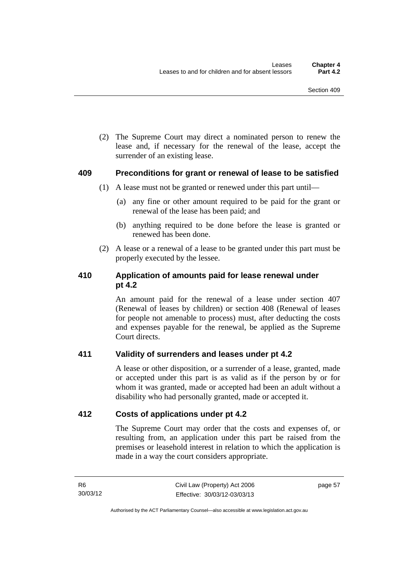(2) The Supreme Court may direct a nominated person to renew the lease and, if necessary for the renewal of the lease, accept the surrender of an existing lease.

#### **409 Preconditions for grant or renewal of lease to be satisfied**

- (1) A lease must not be granted or renewed under this part until—
	- (a) any fine or other amount required to be paid for the grant or renewal of the lease has been paid; and
	- (b) anything required to be done before the lease is granted or renewed has been done.
- (2) A lease or a renewal of a lease to be granted under this part must be properly executed by the lessee.

### **410 Application of amounts paid for lease renewal under pt 4.2**

An amount paid for the renewal of a lease under section 407 (Renewal of leases by children) or section 408 (Renewal of leases for people not amenable to process) must, after deducting the costs and expenses payable for the renewal, be applied as the Supreme Court directs.

### **411 Validity of surrenders and leases under pt 4.2**

A lease or other disposition, or a surrender of a lease, granted, made or accepted under this part is as valid as if the person by or for whom it was granted, made or accepted had been an adult without a disability who had personally granted, made or accepted it.

#### **412 Costs of applications under pt 4.2**

The Supreme Court may order that the costs and expenses of, or resulting from, an application under this part be raised from the premises or leasehold interest in relation to which the application is made in a way the court considers appropriate.

page 57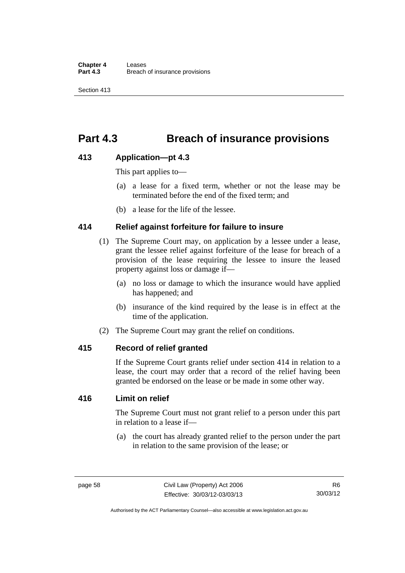# **Part 4.3 Breach of insurance provisions**

#### **413 Application—pt 4.3**

This part applies to—

- (a) a lease for a fixed term, whether or not the lease may be terminated before the end of the fixed term; and
- (b) a lease for the life of the lessee.

#### **414 Relief against forfeiture for failure to insure**

- (1) The Supreme Court may, on application by a lessee under a lease, grant the lessee relief against forfeiture of the lease for breach of a provision of the lease requiring the lessee to insure the leased property against loss or damage if—
	- (a) no loss or damage to which the insurance would have applied has happened; and
	- (b) insurance of the kind required by the lease is in effect at the time of the application.
- (2) The Supreme Court may grant the relief on conditions.

#### **415 Record of relief granted**

If the Supreme Court grants relief under section 414 in relation to a lease, the court may order that a record of the relief having been granted be endorsed on the lease or be made in some other way.

### **416 Limit on relief**

The Supreme Court must not grant relief to a person under this part in relation to a lease if—

 (a) the court has already granted relief to the person under the part in relation to the same provision of the lease; or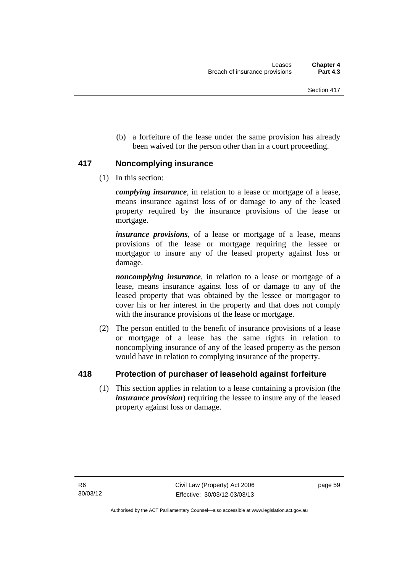(b) a forfeiture of the lease under the same provision has already been waived for the person other than in a court proceeding.

#### **417 Noncomplying insurance**

(1) In this section:

*complying insurance*, in relation to a lease or mortgage of a lease, means insurance against loss of or damage to any of the leased property required by the insurance provisions of the lease or mortgage.

*insurance provisions*, of a lease or mortgage of a lease, means provisions of the lease or mortgage requiring the lessee or mortgagor to insure any of the leased property against loss or damage.

*noncomplying insurance*, in relation to a lease or mortgage of a lease, means insurance against loss of or damage to any of the leased property that was obtained by the lessee or mortgagor to cover his or her interest in the property and that does not comply with the insurance provisions of the lease or mortgage.

 (2) The person entitled to the benefit of insurance provisions of a lease or mortgage of a lease has the same rights in relation to noncomplying insurance of any of the leased property as the person would have in relation to complying insurance of the property.

### **418 Protection of purchaser of leasehold against forfeiture**

(1) This section applies in relation to a lease containing a provision (the *insurance provision*) requiring the lessee to insure any of the leased property against loss or damage.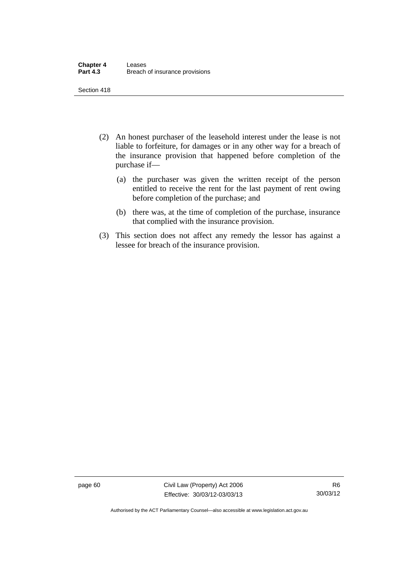Section 418

- (2) An honest purchaser of the leasehold interest under the lease is not liable to forfeiture, for damages or in any other way for a breach of the insurance provision that happened before completion of the purchase if—
	- (a) the purchaser was given the written receipt of the person entitled to receive the rent for the last payment of rent owing before completion of the purchase; and
	- (b) there was, at the time of completion of the purchase, insurance that complied with the insurance provision.
- (3) This section does not affect any remedy the lessor has against a lessee for breach of the insurance provision.

page 60 Civil Law (Property) Act 2006 Effective: 30/03/12-03/03/13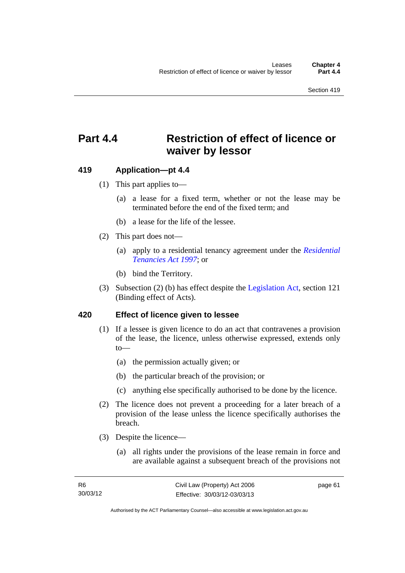# **Part 4.4 Restriction of effect of licence or waiver by lessor**

#### **419 Application—pt 4.4**

- (1) This part applies to—
	- (a) a lease for a fixed term, whether or not the lease may be terminated before the end of the fixed term; and
	- (b) a lease for the life of the lessee.
- (2) This part does not—
	- (a) apply to a residential tenancy agreement under the *[Residential](http://www.legislation.act.gov.au/a/1997-84)  [Tenancies Act 1997](http://www.legislation.act.gov.au/a/1997-84)*; or
	- (b) bind the Territory.
- (3) Subsection (2) (b) has effect despite the [Legislation Act](http://www.legislation.act.gov.au/a/2001-14), section 121 (Binding effect of Acts).

#### **420 Effect of licence given to lessee**

- (1) If a lessee is given licence to do an act that contravenes a provision of the lease, the licence, unless otherwise expressed, extends only to—
	- (a) the permission actually given; or
	- (b) the particular breach of the provision; or
	- (c) anything else specifically authorised to be done by the licence.
- (2) The licence does not prevent a proceeding for a later breach of a provision of the lease unless the licence specifically authorises the breach.
- (3) Despite the licence—
	- (a) all rights under the provisions of the lease remain in force and are available against a subsequent breach of the provisions not

page 61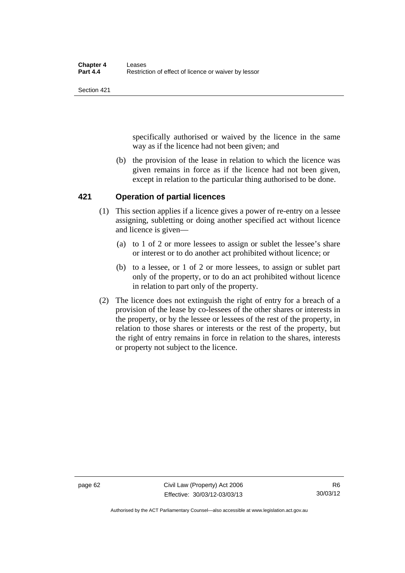Section 421

specifically authorised or waived by the licence in the same way as if the licence had not been given; and

 (b) the provision of the lease in relation to which the licence was given remains in force as if the licence had not been given, except in relation to the particular thing authorised to be done.

#### **421 Operation of partial licences**

- (1) This section applies if a licence gives a power of re-entry on a lessee assigning, subletting or doing another specified act without licence and licence is given—
	- (a) to 1 of 2 or more lessees to assign or sublet the lessee's share or interest or to do another act prohibited without licence; or
	- (b) to a lessee, or 1 of 2 or more lessees, to assign or sublet part only of the property, or to do an act prohibited without licence in relation to part only of the property.
- (2) The licence does not extinguish the right of entry for a breach of a provision of the lease by co-lessees of the other shares or interests in the property, or by the lessee or lessees of the rest of the property, in relation to those shares or interests or the rest of the property, but the right of entry remains in force in relation to the shares, interests or property not subject to the licence.

page 62 Civil Law (Property) Act 2006 Effective: 30/03/12-03/03/13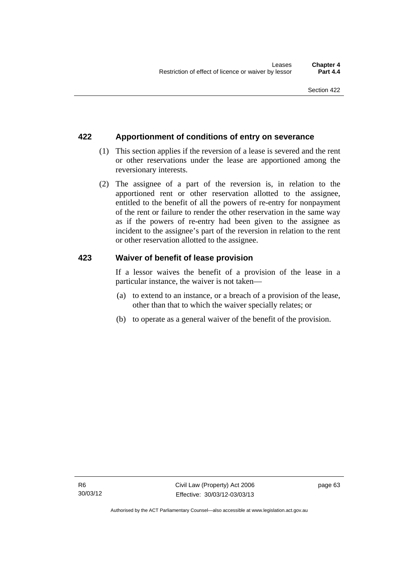# **422 Apportionment of conditions of entry on severance**

- (1) This section applies if the reversion of a lease is severed and the rent or other reservations under the lease are apportioned among the reversionary interests.
- (2) The assignee of a part of the reversion is, in relation to the apportioned rent or other reservation allotted to the assignee, entitled to the benefit of all the powers of re-entry for nonpayment of the rent or failure to render the other reservation in the same way as if the powers of re-entry had been given to the assignee as incident to the assignee's part of the reversion in relation to the rent or other reservation allotted to the assignee.

## **423 Waiver of benefit of lease provision**

If a lessor waives the benefit of a provision of the lease in a particular instance, the waiver is not taken—

- (a) to extend to an instance, or a breach of a provision of the lease, other than that to which the waiver specially relates; or
- (b) to operate as a general waiver of the benefit of the provision.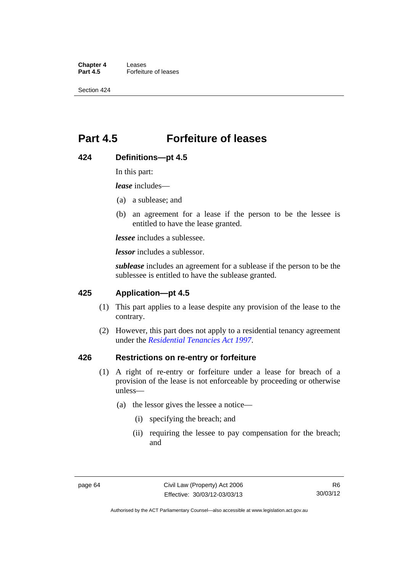**Chapter 4 Leases**<br>**Part 4.5 Forfeitu Part 4.5** Forfeiture of leases

Section 424

# **Part 4.5 Forfeiture of leases**

## **424 Definitions—pt 4.5**

In this part:

*lease* includes—

- (a) a sublease; and
- (b) an agreement for a lease if the person to be the lessee is entitled to have the lease granted.

*lessee* includes a sublessee.

*lessor* includes a sublessor.

*sublease* includes an agreement for a sublease if the person to be the sublessee is entitled to have the sublease granted.

## **425 Application—pt 4.5**

- (1) This part applies to a lease despite any provision of the lease to the contrary.
- (2) However, this part does not apply to a residential tenancy agreement under the *[Residential Tenancies Act 1997](http://www.legislation.act.gov.au/a/1997-84)*.

## **426 Restrictions on re-entry or forfeiture**

- (1) A right of re-entry or forfeiture under a lease for breach of a provision of the lease is not enforceable by proceeding or otherwise unless—
	- (a) the lessor gives the lessee a notice—
		- (i) specifying the breach; and
		- (ii) requiring the lessee to pay compensation for the breach; and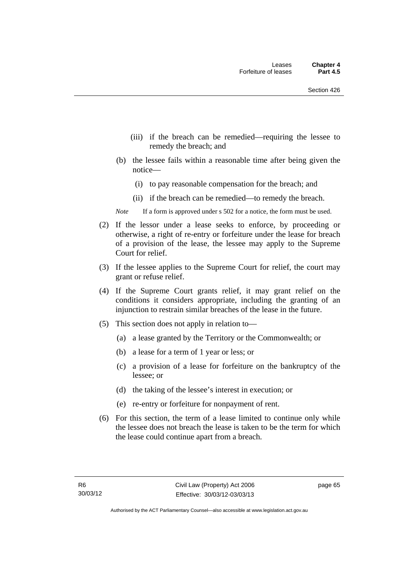- (iii) if the breach can be remedied—requiring the lessee to remedy the breach; and
- (b) the lessee fails within a reasonable time after being given the notice—
	- (i) to pay reasonable compensation for the breach; and
	- (ii) if the breach can be remedied—to remedy the breach.
- *Note* If a form is approved under s 502 for a notice, the form must be used.
- (2) If the lessor under a lease seeks to enforce, by proceeding or otherwise, a right of re-entry or forfeiture under the lease for breach of a provision of the lease, the lessee may apply to the Supreme Court for relief.
- (3) If the lessee applies to the Supreme Court for relief, the court may grant or refuse relief.
- (4) If the Supreme Court grants relief, it may grant relief on the conditions it considers appropriate, including the granting of an injunction to restrain similar breaches of the lease in the future.
- (5) This section does not apply in relation to—
	- (a) a lease granted by the Territory or the Commonwealth; or
	- (b) a lease for a term of 1 year or less; or
	- (c) a provision of a lease for forfeiture on the bankruptcy of the lessee; or
	- (d) the taking of the lessee's interest in execution; or
	- (e) re-entry or forfeiture for nonpayment of rent.
- (6) For this section, the term of a lease limited to continue only while the lessee does not breach the lease is taken to be the term for which the lease could continue apart from a breach.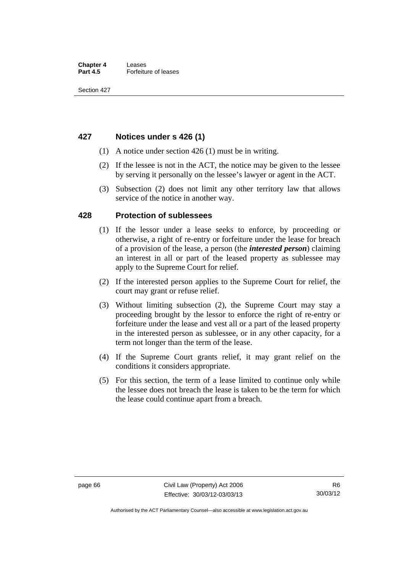## **427 Notices under s 426 (1)**

- (1) A notice under section 426 (1) must be in writing.
- (2) If the lessee is not in the ACT, the notice may be given to the lessee by serving it personally on the lessee's lawyer or agent in the ACT.
- (3) Subsection (2) does not limit any other territory law that allows service of the notice in another way.

## **428 Protection of sublessees**

- (1) If the lessor under a lease seeks to enforce, by proceeding or otherwise, a right of re-entry or forfeiture under the lease for breach of a provision of the lease, a person (the *interested person*) claiming an interest in all or part of the leased property as sublessee may apply to the Supreme Court for relief.
- (2) If the interested person applies to the Supreme Court for relief, the court may grant or refuse relief.
- (3) Without limiting subsection (2), the Supreme Court may stay a proceeding brought by the lessor to enforce the right of re-entry or forfeiture under the lease and vest all or a part of the leased property in the interested person as sublessee, or in any other capacity, for a term not longer than the term of the lease.
- (4) If the Supreme Court grants relief, it may grant relief on the conditions it considers appropriate.
- (5) For this section, the term of a lease limited to continue only while the lessee does not breach the lease is taken to be the term for which the lease could continue apart from a breach.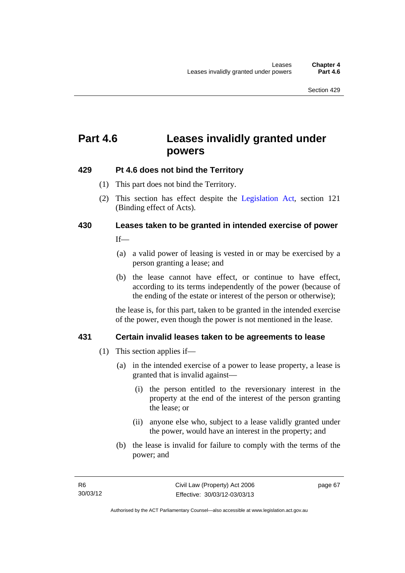# **Part 4.6 Leases invalidly granted under powers**

## **429 Pt 4.6 does not bind the Territory**

- (1) This part does not bind the Territory.
- (2) This section has effect despite the [Legislation Act](http://www.legislation.act.gov.au/a/2001-14)*,* section 121 (Binding effect of Acts).

# **430 Leases taken to be granted in intended exercise of power**

If—

- (a) a valid power of leasing is vested in or may be exercised by a person granting a lease; and
- (b) the lease cannot have effect, or continue to have effect, according to its terms independently of the power (because of the ending of the estate or interest of the person or otherwise);

the lease is, for this part, taken to be granted in the intended exercise of the power, even though the power is not mentioned in the lease.

## **431 Certain invalid leases taken to be agreements to lease**

- (1) This section applies if—
	- (a) in the intended exercise of a power to lease property, a lease is granted that is invalid against—
		- (i) the person entitled to the reversionary interest in the property at the end of the interest of the person granting the lease; or
		- (ii) anyone else who, subject to a lease validly granted under the power, would have an interest in the property; and
	- (b) the lease is invalid for failure to comply with the terms of the power; and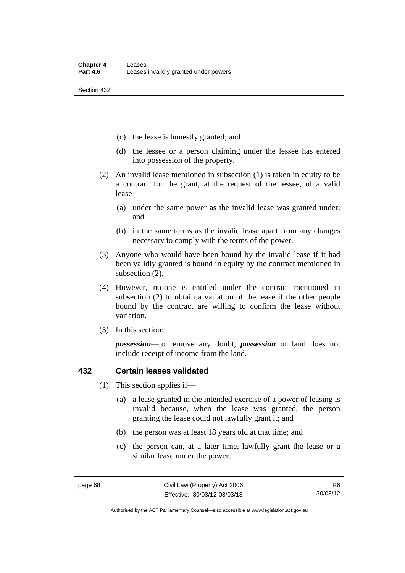Section 432

- (c) the lease is honestly granted; and
- (d) the lessee or a person claiming under the lessee has entered into possession of the property.
- (2) An invalid lease mentioned in subsection (1) is taken in equity to be a contract for the grant, at the request of the lessee, of a valid lease—
	- (a) under the same power as the invalid lease was granted under; and
	- (b) in the same terms as the invalid lease apart from any changes necessary to comply with the terms of the power.
- (3) Anyone who would have been bound by the invalid lease if it had been validly granted is bound in equity by the contract mentioned in subsection (2).
- (4) However, no-one is entitled under the contract mentioned in subsection (2) to obtain a variation of the lease if the other people bound by the contract are willing to confirm the lease without variation.
- (5) In this section:

*possession*—to remove any doubt, *possession* of land does not include receipt of income from the land.

# **432 Certain leases validated**

- (1) This section applies if—
	- (a) a lease granted in the intended exercise of a power of leasing is invalid because, when the lease was granted, the person granting the lease could not lawfully grant it; and
	- (b) the person was at least 18 years old at that time; and
	- (c) the person can, at a later time, lawfully grant the lease or a similar lease under the power.

Authorised by the ACT Parliamentary Counsel—also accessible at www.legislation.act.gov.au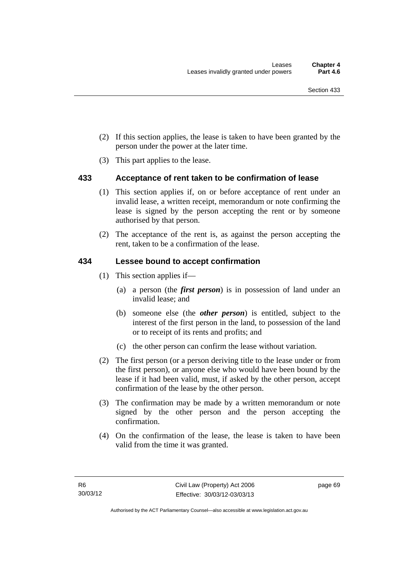- (2) If this section applies, the lease is taken to have been granted by the person under the power at the later time.
- (3) This part applies to the lease.

## **433 Acceptance of rent taken to be confirmation of lease**

- (1) This section applies if, on or before acceptance of rent under an invalid lease, a written receipt, memorandum or note confirming the lease is signed by the person accepting the rent or by someone authorised by that person.
- (2) The acceptance of the rent is, as against the person accepting the rent, taken to be a confirmation of the lease.

## **434 Lessee bound to accept confirmation**

- (1) This section applies if—
	- (a) a person (the *first person*) is in possession of land under an invalid lease; and
	- (b) someone else (the *other person*) is entitled, subject to the interest of the first person in the land, to possession of the land or to receipt of its rents and profits; and
	- (c) the other person can confirm the lease without variation.
- (2) The first person (or a person deriving title to the lease under or from the first person), or anyone else who would have been bound by the lease if it had been valid, must, if asked by the other person, accept confirmation of the lease by the other person.
- (3) The confirmation may be made by a written memorandum or note signed by the other person and the person accepting the confirmation.
- (4) On the confirmation of the lease, the lease is taken to have been valid from the time it was granted.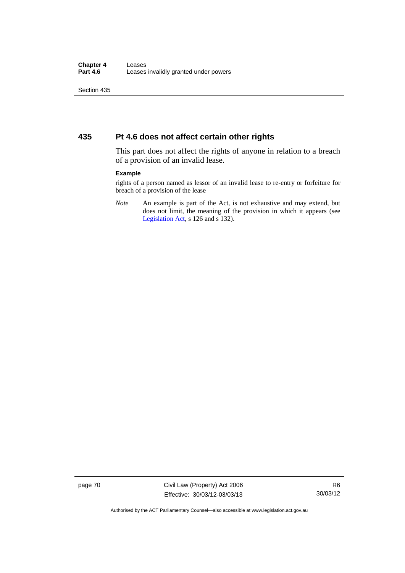Section 435

## **435 Pt 4.6 does not affect certain other rights**

This part does not affect the rights of anyone in relation to a breach of a provision of an invalid lease.

#### **Example**

rights of a person named as lessor of an invalid lease to re-entry or forfeiture for breach of a provision of the lease

*Note* An example is part of the Act, is not exhaustive and may extend, but does not limit, the meaning of the provision in which it appears (see [Legislation Act,](http://www.legislation.act.gov.au/a/2001-14) s 126 and s 132).

page 70 Civil Law (Property) Act 2006 Effective: 30/03/12-03/03/13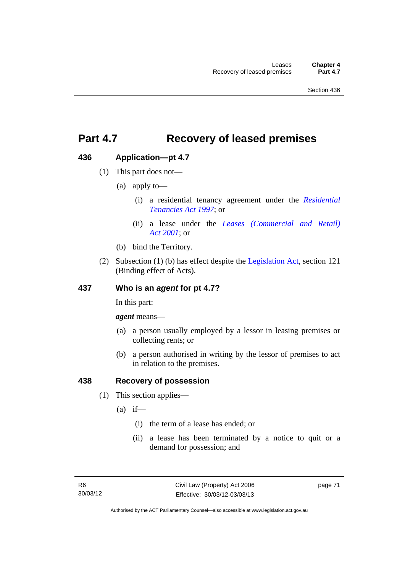# **Part 4.7 Recovery of leased premises**

# **436 Application—pt 4.7**

- (1) This part does not—
	- (a) apply to—
		- (i) a residential tenancy agreement under the *[Residential](http://www.legislation.act.gov.au/a/1997-84)  [Tenancies Act 1997](http://www.legislation.act.gov.au/a/1997-84)*; or
		- (ii) a lease under the *[Leases \(Commercial and Retail\)](http://www.legislation.act.gov.au/a/2001-18)  [Act 2001](http://www.legislation.act.gov.au/a/2001-18)*; or
	- (b) bind the Territory.
- (2) Subsection (1) (b) has effect despite the [Legislation Act](http://www.legislation.act.gov.au/a/2001-14), section 121 (Binding effect of Acts).

# **437 Who is an** *agent* **for pt 4.7?**

In this part:

*agent* means—

- (a) a person usually employed by a lessor in leasing premises or collecting rents; or
- (b) a person authorised in writing by the lessor of premises to act in relation to the premises.

## **438 Recovery of possession**

- (1) This section applies—
	- $(a)$  if—
		- (i) the term of a lease has ended; or
		- (ii) a lease has been terminated by a notice to quit or a demand for possession; and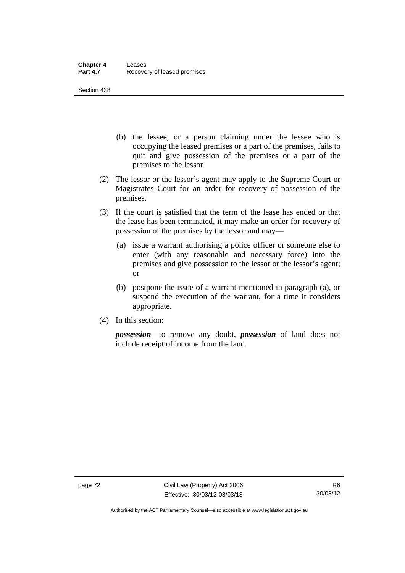Section 438

- (b) the lessee, or a person claiming under the lessee who is occupying the leased premises or a part of the premises, fails to quit and give possession of the premises or a part of the premises to the lessor.
- (2) The lessor or the lessor's agent may apply to the Supreme Court or Magistrates Court for an order for recovery of possession of the premises.
- (3) If the court is satisfied that the term of the lease has ended or that the lease has been terminated, it may make an order for recovery of possession of the premises by the lessor and may—
	- (a) issue a warrant authorising a police officer or someone else to enter (with any reasonable and necessary force) into the premises and give possession to the lessor or the lessor's agent; or
	- (b) postpone the issue of a warrant mentioned in paragraph (a), or suspend the execution of the warrant, for a time it considers appropriate.
- (4) In this section:

*possession*—to remove any doubt, *possession* of land does not include receipt of income from the land.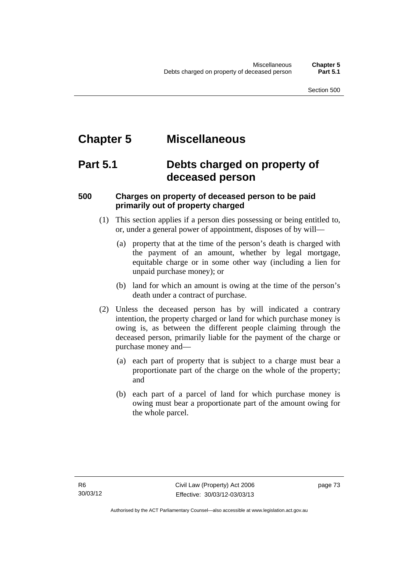# **Chapter 5 Miscellaneous**

# **Part 5.1 Debts charged on property of deceased person**

# **500 Charges on property of deceased person to be paid primarily out of property charged**

- (1) This section applies if a person dies possessing or being entitled to, or, under a general power of appointment, disposes of by will—
	- (a) property that at the time of the person's death is charged with the payment of an amount, whether by legal mortgage, equitable charge or in some other way (including a lien for unpaid purchase money); or
	- (b) land for which an amount is owing at the time of the person's death under a contract of purchase.
- (2) Unless the deceased person has by will indicated a contrary intention, the property charged or land for which purchase money is owing is, as between the different people claiming through the deceased person, primarily liable for the payment of the charge or purchase money and—
	- (a) each part of property that is subject to a charge must bear a proportionate part of the charge on the whole of the property; and
	- (b) each part of a parcel of land for which purchase money is owing must bear a proportionate part of the amount owing for the whole parcel.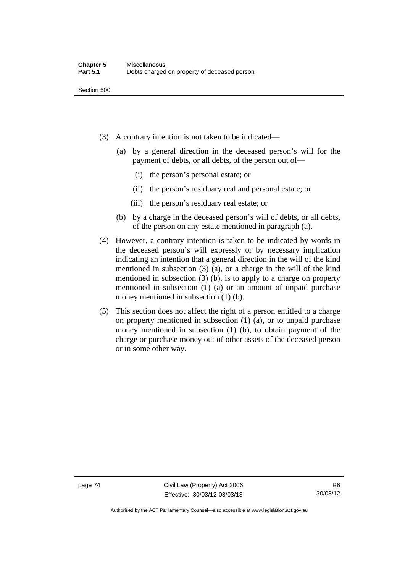- (3) A contrary intention is not taken to be indicated—
	- (a) by a general direction in the deceased person's will for the payment of debts, or all debts, of the person out of—
		- (i) the person's personal estate; or
		- (ii) the person's residuary real and personal estate; or
		- (iii) the person's residuary real estate; or
	- (b) by a charge in the deceased person's will of debts, or all debts, of the person on any estate mentioned in paragraph (a).
- (4) However, a contrary intention is taken to be indicated by words in the deceased person's will expressly or by necessary implication indicating an intention that a general direction in the will of the kind mentioned in subsection (3) (a), or a charge in the will of the kind mentioned in subsection (3) (b), is to apply to a charge on property mentioned in subsection (1) (a) or an amount of unpaid purchase money mentioned in subsection (1) (b).
- (5) This section does not affect the right of a person entitled to a charge on property mentioned in subsection (1) (a), or to unpaid purchase money mentioned in subsection (1) (b), to obtain payment of the charge or purchase money out of other assets of the deceased person or in some other way.

page 74 Civil Law (Property) Act 2006 Effective: 30/03/12-03/03/13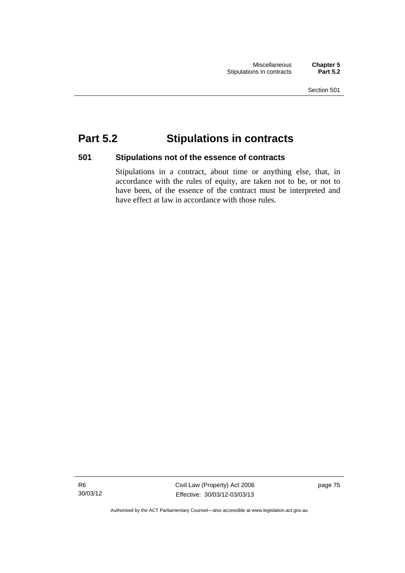# **Part 5.2 Stipulations in contracts**

## **501 Stipulations not of the essence of contracts**

Stipulations in a contract, about time or anything else, that, in accordance with the rules of equity, are taken not to be, or not to have been, of the essence of the contract must be interpreted and have effect at law in accordance with those rules.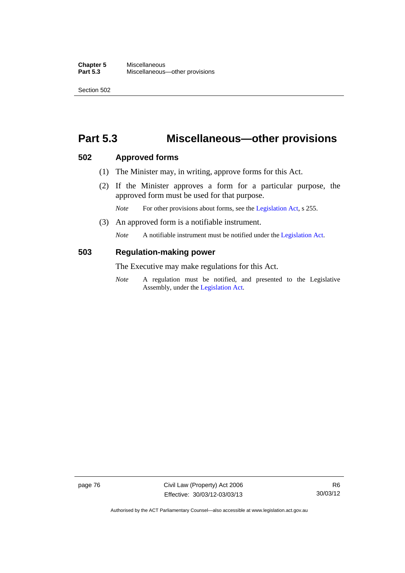#### **Chapter 5** Miscellaneous<br>**Part 5.3** Miscellaneous **Part 5.3** Miscellaneous—other provisions

Section 502

# **Part 5.3 Miscellaneous—other provisions**

### **502 Approved forms**

- (1) The Minister may, in writing, approve forms for this Act.
- (2) If the Minister approves a form for a particular purpose, the approved form must be used for that purpose.

*Note* For other provisions about forms, see the [Legislation Act,](http://www.legislation.act.gov.au/a/2001-14) s 255.

(3) An approved form is a notifiable instrument.

*Note* A notifiable instrument must be notified under the [Legislation Act](http://www.legislation.act.gov.au/a/2001-14).

## **503 Regulation-making power**

The Executive may make regulations for this Act.

*Note* A regulation must be notified, and presented to the Legislative Assembly, under the [Legislation Act](http://www.legislation.act.gov.au/a/2001-14).

page 76 Civil Law (Property) Act 2006 Effective: 30/03/12-03/03/13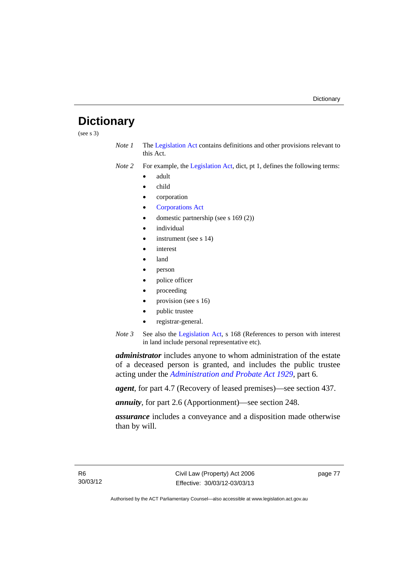# **Dictionary**

(see s 3)

- *Note 1* The [Legislation Act](http://www.legislation.act.gov.au/a/2001-14) contains definitions and other provisions relevant to this Act.
- *Note 2* For example, the [Legislation Act,](http://www.legislation.act.gov.au/a/2001-14) dict, pt 1, defines the following terms:
	- adult
	- child
	- corporation
	- [Corporations Act](http://www.comlaw.gov.au/Series/C2004A00818)
	- domestic partnership (see s 169 (2))
	- individual
	- instrument (see s 14)
	- interest
	- land
	- person
	- police officer
	- proceeding
	- provision (see s 16)
	- public trustee
	- registrar-general.
- *Note 3* See also the [Legislation Act,](http://www.legislation.act.gov.au/a/2001-14) s 168 (References to person with interest in land include personal representative etc).

*administrator* includes anyone to whom administration of the estate of a deceased person is granted, and includes the public trustee acting under the *[Administration and Probate Act 1929](http://www.legislation.act.gov.au/a/1929-18)*, part 6.

*agent*, for part 4.7 (Recovery of leased premises)—see section 437.

*annuity*, for part 2.6 (Apportionment)—see section 248.

*assurance* includes a conveyance and a disposition made otherwise than by will.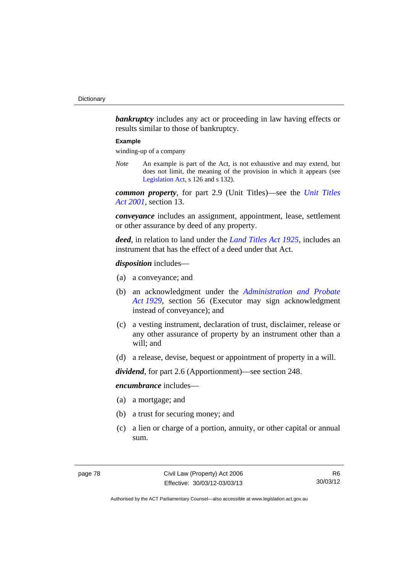**bankruptcy** includes any act or proceeding in law having effects or results similar to those of bankruptcy.

#### **Example**

winding-up of a company

*Note* An example is part of the Act, is not exhaustive and may extend, but does not limit, the meaning of the provision in which it appears (see [Legislation Act,](http://www.legislation.act.gov.au/a/2001-14) s 126 and s 132).

*common property*, for part 2.9 (Unit Titles)—see the *[Unit Titles](http://www.legislation.act.gov.au/a/2001-16)  [Act 2001](http://www.legislation.act.gov.au/a/2001-16)*, section 13.

*conveyance* includes an assignment, appointment, lease, settlement or other assurance by deed of any property.

*deed*, in relation to land under the *[Land Titles Act 1925](http://www.legislation.act.gov.au/a/1925-1)*, includes an instrument that has the effect of a deed under that Act.

*disposition* includes—

- (a) a conveyance; and
- (b) an acknowledgment under the *[Administration and Probate](http://www.legislation.act.gov.au/a/1929-18)  [Act 1929](http://www.legislation.act.gov.au/a/1929-18)*, section 56 (Executor may sign acknowledgment instead of conveyance); and
- (c) a vesting instrument, declaration of trust, disclaimer, release or any other assurance of property by an instrument other than a will; and
- (d) a release, devise, bequest or appointment of property in a will.

*dividend*, for part 2.6 (Apportionment)—see section 248.

*encumbrance* includes—

- (a) a mortgage; and
- (b) a trust for securing money; and
- (c) a lien or charge of a portion, annuity, or other capital or annual sum.

R6 30/03/12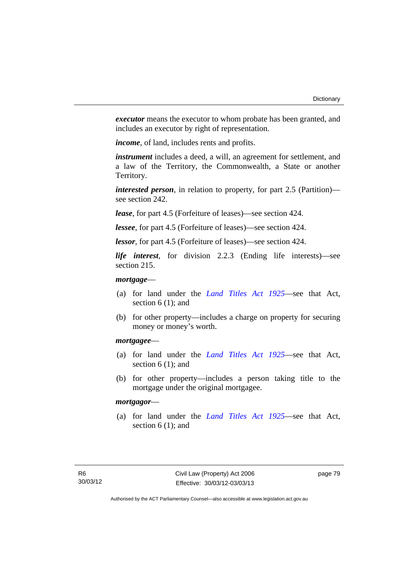*executor* means the executor to whom probate has been granted, and includes an executor by right of representation.

*income*, of land, includes rents and profits.

*instrument* includes a deed, a will, an agreement for settlement, and a law of the Territory, the Commonwealth, a State or another Territory.

*interested person*, in relation to property, for part 2.5 (Partition) see section 242.

*lease*, for part 4.5 (Forfeiture of leases)—see section 424.

*lessee*, for part 4.5 (Forfeiture of leases)—see section 424.

*lessor*, for part 4.5 (Forfeiture of leases)—see section 424.

*life interest*, for division 2.2.3 (Ending life interests)—see section 215.

### *mortgage*—

- (a) for land under the *[Land Titles Act 1925](http://www.legislation.act.gov.au/a/1925-1)*—see that Act, section 6 (1); and
- (b) for other property—includes a charge on property for securing money or money's worth.

#### *mortgagee*—

- (a) for land under the *[Land Titles Act 1925](http://www.legislation.act.gov.au/a/1925-1)*—see that Act, section 6 (1); and
- (b) for other property—includes a person taking title to the mortgage under the original mortgagee.

#### *mortgagor*—

 (a) for land under the *[Land Titles Act 1925](http://www.legislation.act.gov.au/a/1925-1)*—see that Act, section  $6(1)$ ; and

page 79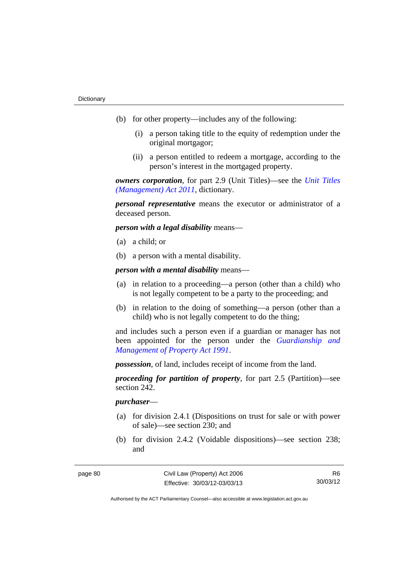- (b) for other property—includes any of the following:
	- (i) a person taking title to the equity of redemption under the original mortgagor;
	- (ii) a person entitled to redeem a mortgage, according to the person's interest in the mortgaged property.

*owners corporation*, for part 2.9 (Unit Titles)—see the *[Unit Titles](http://www.legislation.act.gov.au/a/2011-41)  [\(Management\) Act 2011](http://www.legislation.act.gov.au/a/2011-41)*, dictionary.

*personal representative* means the executor or administrator of a deceased person.

*person with a legal disability* means—

- (a) a child; or
- (b) a person with a mental disability.

*person with a mental disability* means—

- (a) in relation to a proceeding—a person (other than a child) who is not legally competent to be a party to the proceeding; and
- (b) in relation to the doing of something—a person (other than a child) who is not legally competent to do the thing;

and includes such a person even if a guardian or manager has not been appointed for the person under the *[Guardianship and](http://www.legislation.act.gov.au/a/1991-62)  [Management of Property Act 1991](http://www.legislation.act.gov.au/a/1991-62)*.

*possession*, of land, includes receipt of income from the land.

*proceeding for partition of property*, for part 2.5 (Partition)—see section 242.

#### *purchaser*—

- (a) for division 2.4.1 (Dispositions on trust for sale or with power of sale)—see section 230; and
- (b) for division 2.4.2 (Voidable dispositions)—see section 238; and

R6 30/03/12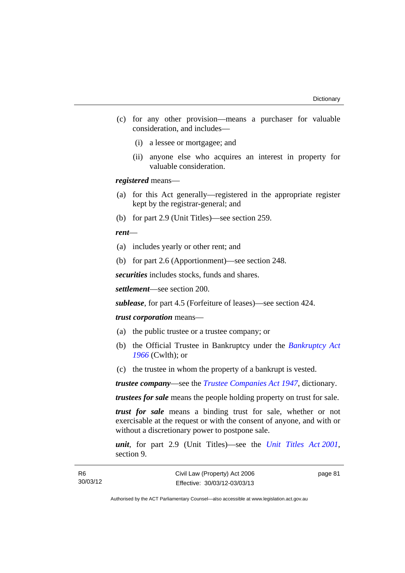- (c) for any other provision—means a purchaser for valuable consideration, and includes—
	- (i) a lessee or mortgagee; and
	- (ii) anyone else who acquires an interest in property for valuable consideration.

*registered* means—

- (a) for this Act generally—registered in the appropriate register kept by the registrar-general; and
- (b) for part 2.9 (Unit Titles)—see section 259.

*rent*—

- (a) includes yearly or other rent; and
- (b) for part 2.6 (Apportionment)—see section 248.

*securities* includes stocks, funds and shares.

*settlement*—see section 200.

*sublease*, for part 4.5 (Forfeiture of leases)—see section 424.

#### *trust corporation* means—

- (a) the public trustee or a trustee company; or
- (b) the Official Trustee in Bankruptcy under the *[Bankruptcy Act](http://www.comlaw.gov.au/Series/C2004A07422)  [1966](http://www.comlaw.gov.au/Series/C2004A07422)* (Cwlth); or
- (c) the trustee in whom the property of a bankrupt is vested.

*trustee company*—see the *[Trustee Companies Act 1947](http://www.legislation.act.gov.au/a/1947-15)*, dictionary.

*trustees for sale* means the people holding property on trust for sale.

*trust for sale* means a binding trust for sale, whether or not exercisable at the request or with the consent of anyone, and with or without a discretionary power to postpone sale.

*unit*, for part 2.9 (Unit Titles)—see the *[Unit Titles Act 2001](http://www.legislation.act.gov.au/a/2001-16)*, section 9.

page 81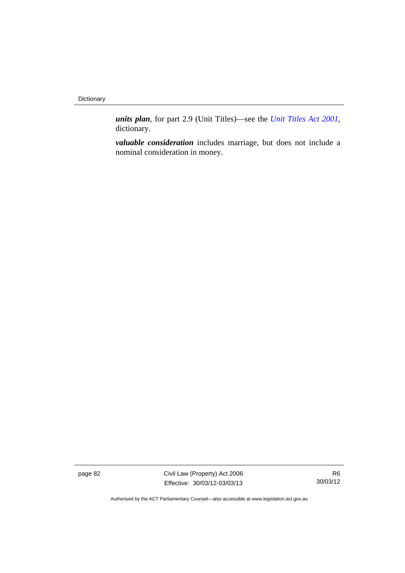**Dictionary** 

*units plan*, for part 2.9 (Unit Titles)—see the *[Unit Titles Act 2001](http://www.legislation.act.gov.au/a/2001-16)*, dictionary.

*valuable consideration* includes marriage, but does not include a nominal consideration in money.

page 82 Civil Law (Property) Act 2006 Effective: 30/03/12-03/03/13

R6 30/03/12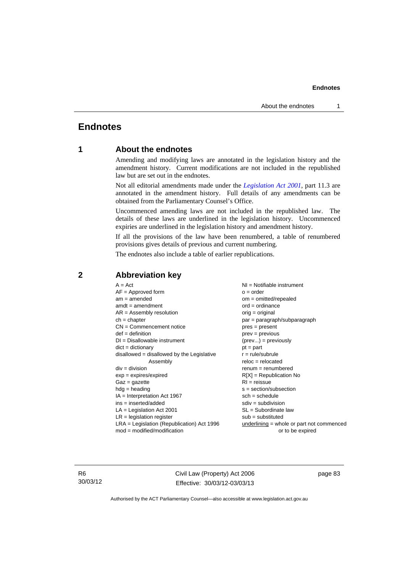# **Endnotes**

## **1 About the endnotes**

Amending and modifying laws are annotated in the legislation history and the amendment history. Current modifications are not included in the republished law but are set out in the endnotes.

Not all editorial amendments made under the *[Legislation Act 2001](http://www.legislation.act.gov.au/a/2001-14)*, part 11.3 are annotated in the amendment history. Full details of any amendments can be obtained from the Parliamentary Counsel's Office.

Uncommenced amending laws are not included in the republished law. The details of these laws are underlined in the legislation history. Uncommenced expiries are underlined in the legislation history and amendment history.

If all the provisions of the law have been renumbered, a table of renumbered provisions gives details of previous and current numbering.

The endnotes also include a table of earlier republications.

| $A = Act$                                          | NI = Notifiable instrument                  |  |
|----------------------------------------------------|---------------------------------------------|--|
| $AF =$ Approved form                               | $o = order$                                 |  |
| $am = amended$                                     | $om = omitted/repealed$                     |  |
| $amdt = amendment$                                 | $ord = ordinance$                           |  |
| $AR = Assembly resolution$                         | $orig = original$                           |  |
| $ch = chapter$                                     | par = paragraph/subparagraph                |  |
| $CN =$ Commencement notice                         | $pres = present$                            |  |
| $def = definition$                                 | $prev = previous$                           |  |
| $DI = Disallowable instrument$                     | $(\text{prev}) = \text{previously}$         |  |
| $dict = dictionary$                                | $pt = part$                                 |  |
| $disallowed = disallowed by the Legislative$       | $r = rule/subrule$                          |  |
| Assembly                                           | $reloc = relocated$                         |  |
| $div = division$                                   | $renum = renumbered$                        |  |
| $exp = expires/expired$                            | $R[X]$ = Republication No                   |  |
| $Gaz = gazette$                                    | $RI = reissue$                              |  |
| $hdg = heading$<br>$s = section/subsection$        |                                             |  |
| $sch = schedule$<br>$IA = Interpretation Act 1967$ |                                             |  |
| ins = inserted/added                               | $sdiv = subdivision$                        |  |
| $LA =$ Legislation Act 2001                        | $SL = Subordinate$ law                      |  |
| $LR =$ legislation register                        | $sub =$ substituted                         |  |
| $LRA =$ Legislation (Republication) Act 1996       | $underlining = whole or part not commenced$ |  |
| $mod = modified/modification$                      | or to be expired                            |  |
|                                                    |                                             |  |

## **2 Abbreviation key**

R6 30/03/12 Civil Law (Property) Act 2006 Effective: 30/03/12-03/03/13

page 83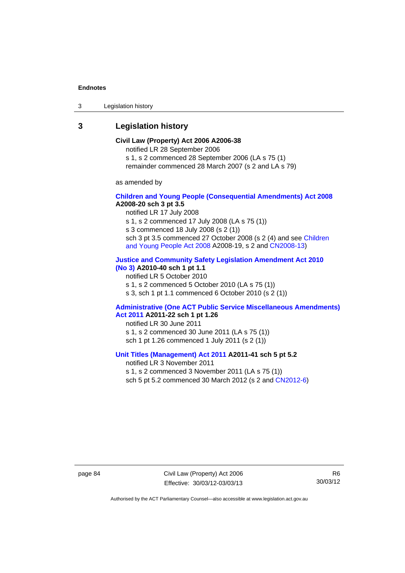3 Legislation history

# **3 Legislation history**

#### **Civil Law (Property) Act 2006 A2006-38**  notified LR 28 September 2006 s 1, s 2 commenced 28 September 2006 (LA s 75 (1)

remainder commenced 28 March 2007 (s 2 and LA s 79)

as amended by

#### **[Children and Young People \(Consequential Amendments\) Act 2008](http://www.legislation.act.gov.au/a/2008-20) A2008-20 sch 3 pt 3.5**

notified LR 17 July 2008

s 1, s 2 commenced 17 July 2008 (LA s 75 (1))

s 3 commenced 18 July 2008 (s 2 (1))

sch 3 pt 3.5 commenced 27 October 2008 (s 2 (4) and see [Children](http://www.legislation.act.gov.au/a/2008-19)  [and Young People Act 2008](http://www.legislation.act.gov.au/a/2008-19) A2008-19, s 2 and [CN2008-13](http://www.legislation.act.gov.au/cn/2008-13/default.asp))

#### **[Justice and Community Safety Legislation Amendment Act 2010](http://www.legislation.act.gov.au/a/2010-40)  [\(No 3\)](http://www.legislation.act.gov.au/a/2010-40) A2010-40 sch 1 pt 1.1**

notified LR 5 October 2010

s 1, s 2 commenced 5 October 2010 (LA s 75 (1))

s 3, sch 1 pt 1.1 commenced 6 October 2010 (s 2 (1))

#### **[Administrative \(One ACT Public Service Miscellaneous Amendments\)](http://www.legislation.act.gov.au/a/2011-22)  [Act 2011](http://www.legislation.act.gov.au/a/2011-22) A2011-22 sch 1 pt 1.26**

notified LR 30 June 2011 s 1, s 2 commenced 30 June 2011 (LA s 75 (1)) sch 1 pt 1.26 commenced 1 July 2011 (s 2 (1))

## **[Unit Titles \(Management\) Act 2011](http://www.legislation.act.gov.au/a/2011-41) A2011-41 sch 5 pt 5.2**

notified LR 3 November 2011 s 1, s 2 commenced 3 November 2011 (LA s 75 (1)) sch 5 pt 5.2 commenced 30 March 2012 (s 2 and [CN2012-6\)](http://www.legislation.act.gov.au/cn/2012-6/default.asp)

page 84 Civil Law (Property) Act 2006 Effective: 30/03/12-03/03/13

R6 30/03/12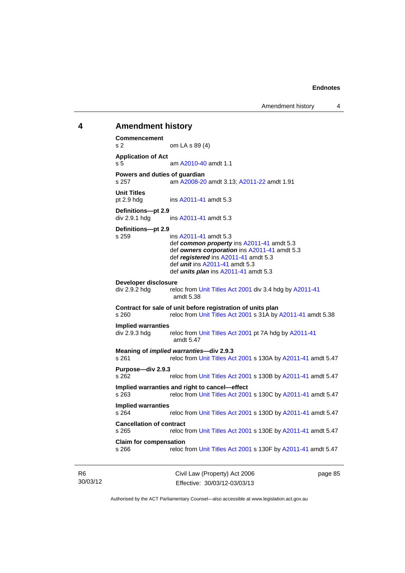# **4 Amendment history Commencement**  s 2 om LA s 89 (4) **Application of Act**  s 5 am [A2010-40](http://www.legislation.act.gov.au/a/2010-40) amdt 1.1 **Powers and duties of guardian**  s 257 am [A2008-20](http://www.legislation.act.gov.au/a/2008-20) amdt 3.13; [A2011-22](http://www.legislation.act.gov.au/a/2011-22) amdt 1.91 **Unit Titles**  pt 2.9 hdg ins [A2011-41](http://www.legislation.act.gov.au/a/2011-41) amdt 5.3 **Definitions—pt 2.9**  div 2.9.1 hdg ins [A2011-41](http://www.legislation.act.gov.au/a/2011-41) amdt 5.3 **Definitions—pt 2.9**  s 259 ins [A2011-41](http://www.legislation.act.gov.au/a/2011-41) amdt 5.3 def *common property* ins [A2011-41](http://www.legislation.act.gov.au/a/2011-41) amdt 5.3 def *owners corporation* ins [A2011-41](http://www.legislation.act.gov.au/a/2011-41) amdt 5.3 def *registered* ins [A2011-41](http://www.legislation.act.gov.au/a/2011-41) amdt 5.3 def *unit* ins [A2011-41](http://www.legislation.act.gov.au/a/2011-41) amdt 5.3 def *units plan* ins [A2011-41](http://www.legislation.act.gov.au/a/2011-41) amdt 5.3 **Developer disclosure**  div 2.9.2 hdg reloc from [Unit Titles Act 2001](http://www.legislation.act.gov.au/a/2001-16) div 3.4 hdg by [A2011-41](http://www.legislation.act.gov.au/a/2011-41) amdt 5.38 **Contract for sale of unit before registration of units plan**  s 260 reloc from [Unit Titles Act 2001](http://www.legislation.act.gov.au/a/2001-16) s 31A by [A2011-41](http://www.legislation.act.gov.au/a/2011-41) amdt 5.38 **Implied warranties**  div 2.9.3 hdg reloc from [Unit Titles Act 2001](http://www.legislation.act.gov.au/a/2001-16) pt 7A hdg by [A2011-41](http://www.legislation.act.gov.au/a/2011-41) amdt 5.47 **Meaning of** *implied warranties***—div 2.9.3**  s 261 reloc from [Unit Titles Act 2001](http://www.legislation.act.gov.au/a/2001-16) s 130A by [A2011-41](http://www.legislation.act.gov.au/a/2011-41) amdt 5.47 **Purpose—div 2.9.3**  s 262 reloc from [Unit Titles Act 2001](http://www.legislation.act.gov.au/a/2001-16) s 130B by [A2011-41](http://www.legislation.act.gov.au/a/2011-41) amdt 5.47 **Implied warranties and right to cancel—effect**  s 263 reloc from [Unit Titles Act 2001](http://www.legislation.act.gov.au/a/2001-16) s 130C by [A2011-41](http://www.legislation.act.gov.au/a/2011-41) amdt 5.47 **Implied warranties**  reloc from [Unit Titles Act 2001](http://www.legislation.act.gov.au/a/2001-16) s 130D by [A2011-41](http://www.legislation.act.gov.au/a/2011-41) amdt 5.47 **Cancellation of contract**  s 265 reloc from [Unit Titles Act 2001](http://www.legislation.act.gov.au/a/2001-16) s 130E by [A2011-41](http://www.legislation.act.gov.au/a/2011-41) amdt 5.47 **Claim for compensation**  s 266 reloc from [Unit Titles Act 2001](http://www.legislation.act.gov.au/a/2001-16) s 130F by [A2011-41](http://www.legislation.act.gov.au/a/2011-41) amdt 5.47

R6 30/03/12 Civil Law (Property) Act 2006 Effective: 30/03/12-03/03/13

page 85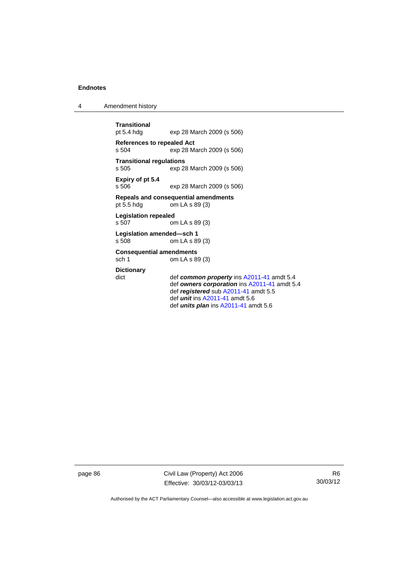4 Amendment history

```
Transitional 
                 exp 28 March 2009 (s 506)
References to repealed Act 
s 504 exp 28 March 2009 (s 506) 
Transitional regulations 
                 exp 28 March 2009 (s 506)
Expiry of pt 5.4 
s 506 exp 28 March 2009 (s 506) 
Repeals and consequential amendments 
                 \frac{1}{2} cm LA s 89 (3)
Legislation repealed 
s 507 om LA s 89 (3) 
Legislation amended—sch 1 
s 508 om LA s 89 (3) 
Consequential amendments 
sch 1 om LA s 89 (3) 
Dictionary 
dict def common property ins A2011-41 amdt 5.4 
                  def owners corporation ins A2011-41 amdt 5.4 
                  def registered sub A2011-41 amdt 5.5 
                  def unit ins A2011-41 amdt 5.6 
                  def units plan ins A2011-41 amdt 5.6
```
page 86 Civil Law (Property) Act 2006 Effective: 30/03/12-03/03/13

R6 30/03/12